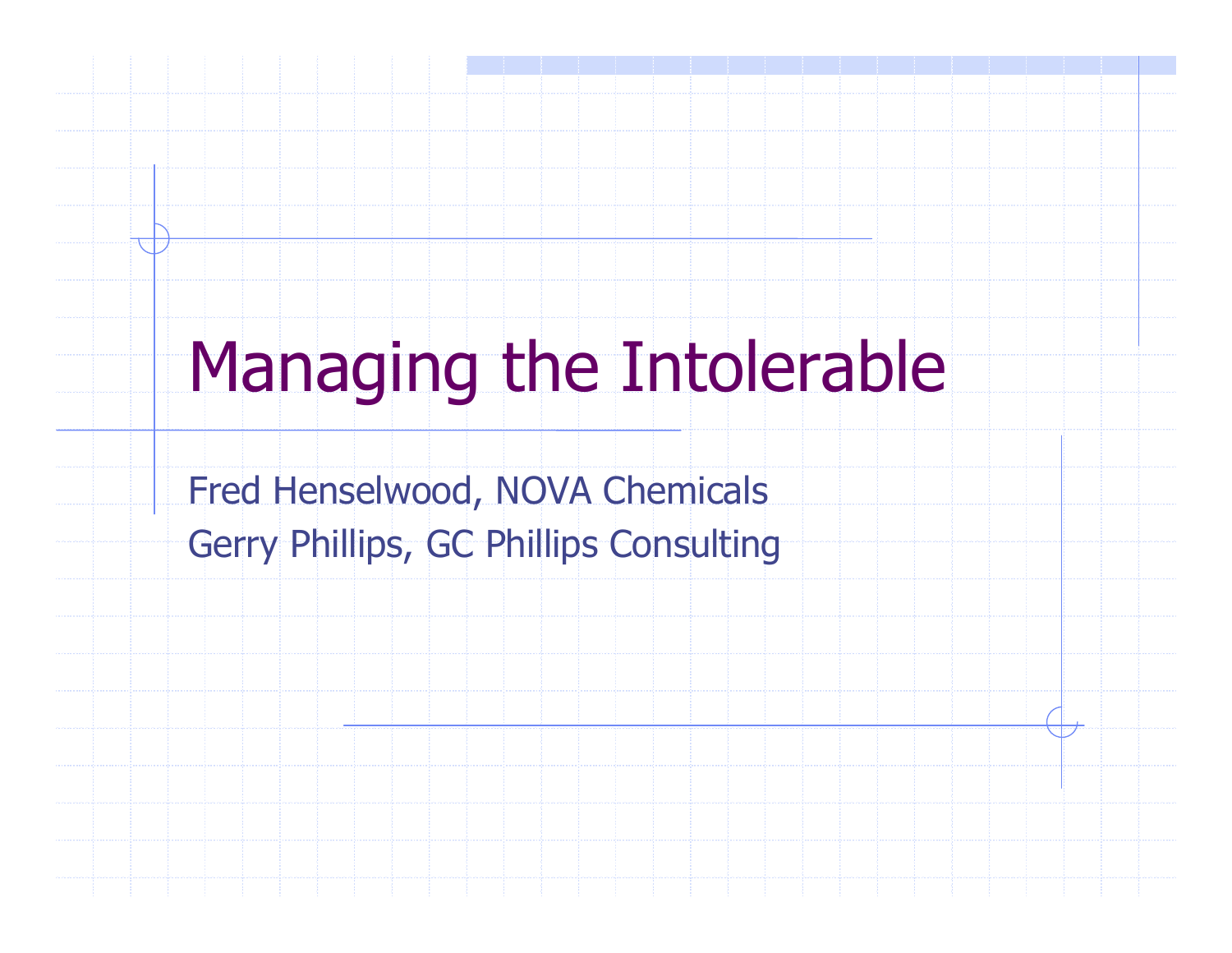# Managing the Intolerable

Fred Henselwood, NOVA ChemicalsGerry Phillips, GC Phillips Consulting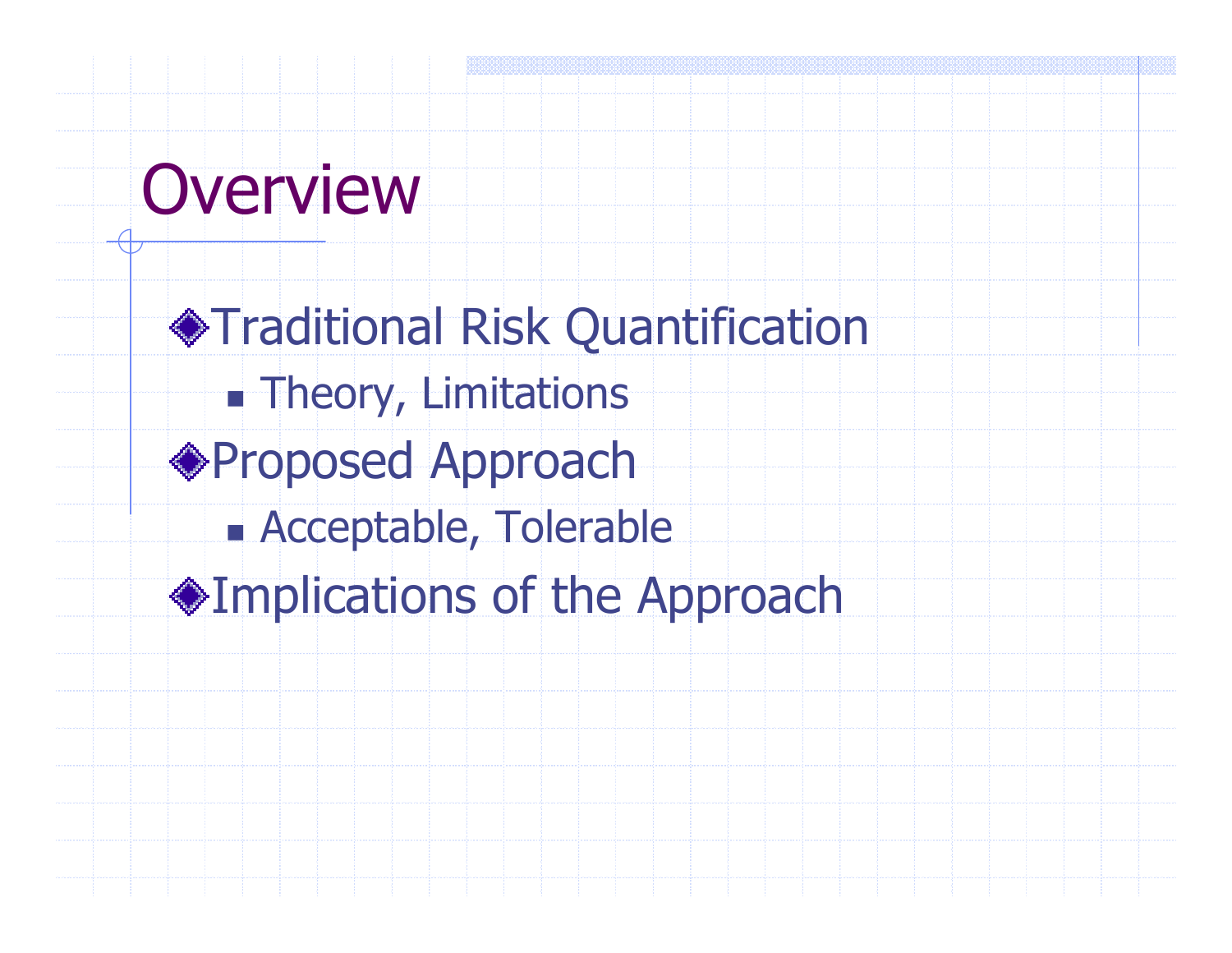# **Overview**

Traditional Risk Quantificationn. **External Theory, Limitations** ◆Proposed Approach n. Acceptable, TolerableImplications of the Approach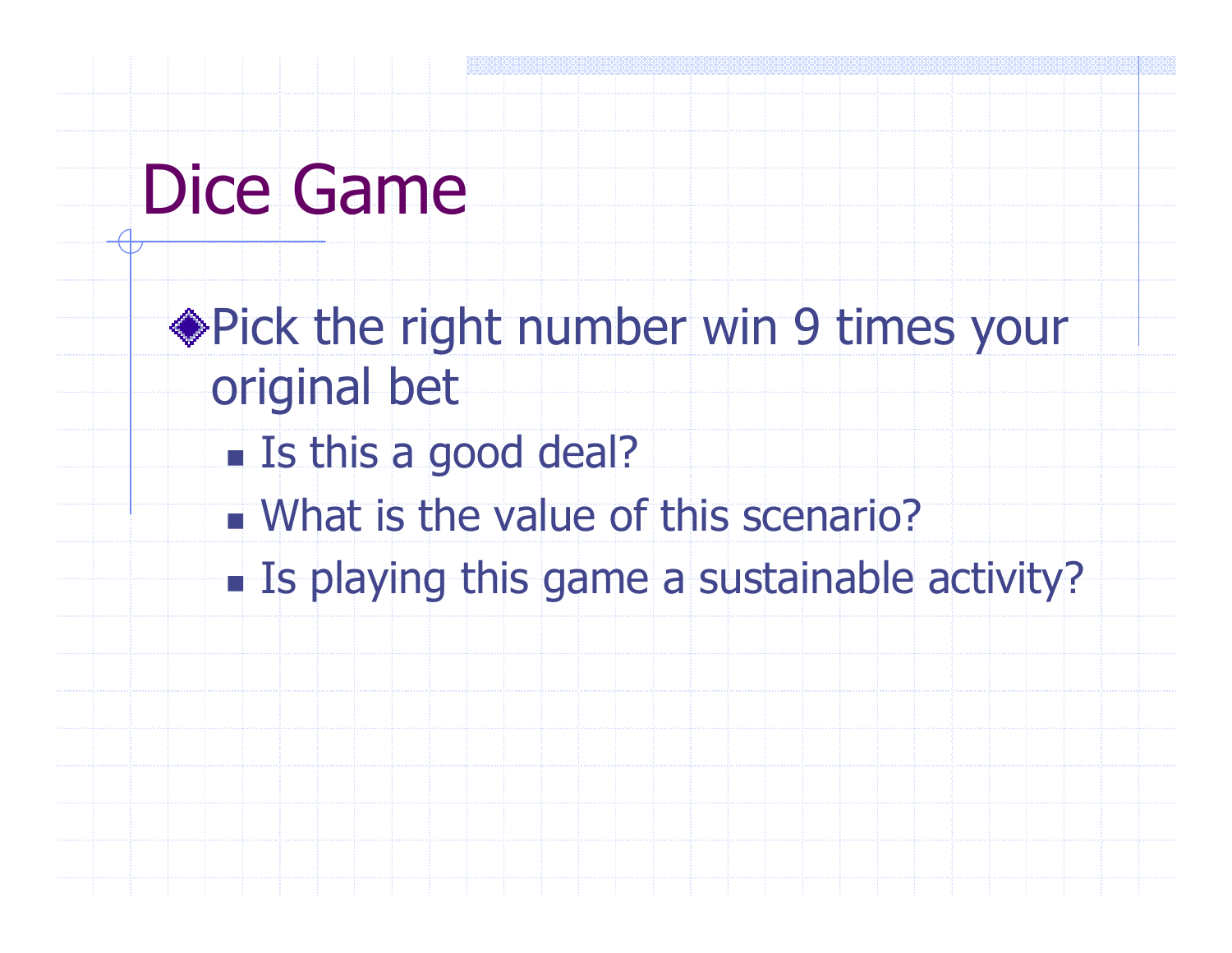# Dice Game

- Pick the right number win 9 times your original bet
	- n. **Example 15 this a good deal?**
	- What is the value of this scenario?
	- n. **Example 2 is playing this game a sustainable activity?**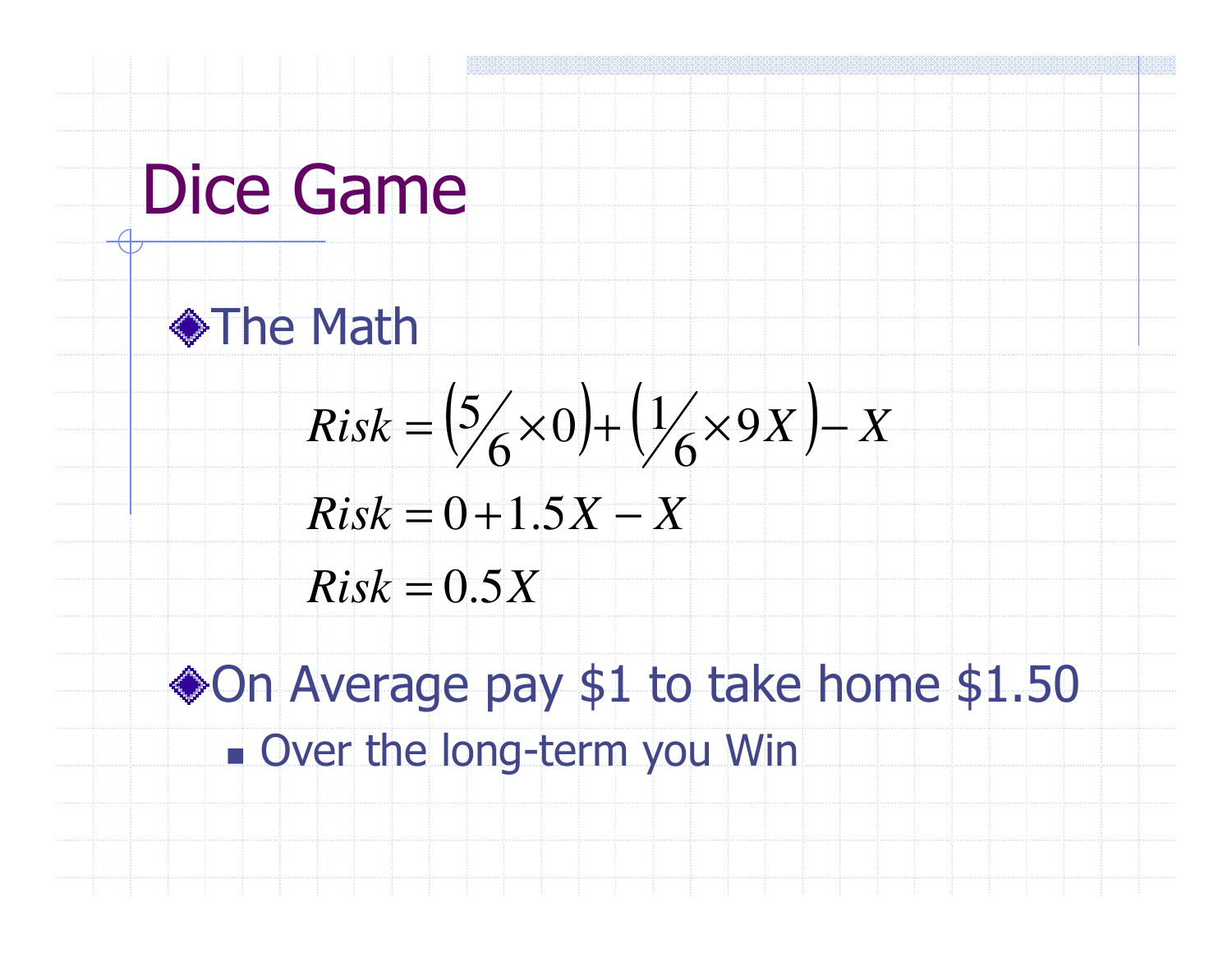# Dice Game



$$
Risk = \left(\frac{5}{6} \times 0\right) + \left(\frac{1}{6} \times 9X\right) - X
$$
  

$$
Risk = 0 + 1.5X - X
$$

$$
Risk = 0 + 1.5X - X
$$

 $Risk = 0.5X$ 

◆On Average pay \$1 to take home \$1.50 F. Over the long-term you Win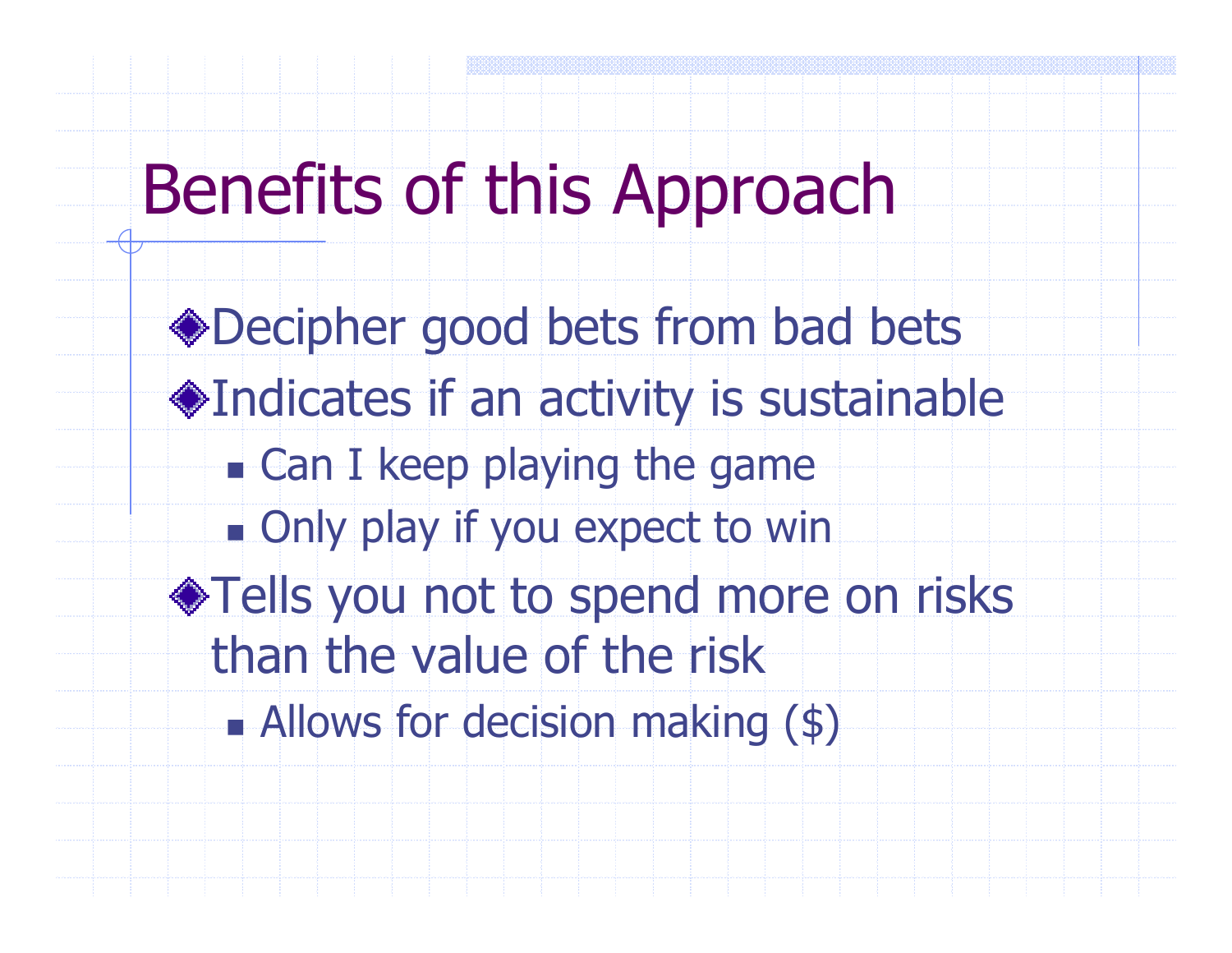# Benefits of this Approach

Decipher good bets from bad betsIndicates if an activity is sustainablen. **Example playing the game** n. **. Only play if you expect to win** ◆Tells you not to spend more on risks than the value of the riskAllows for decision making (\$)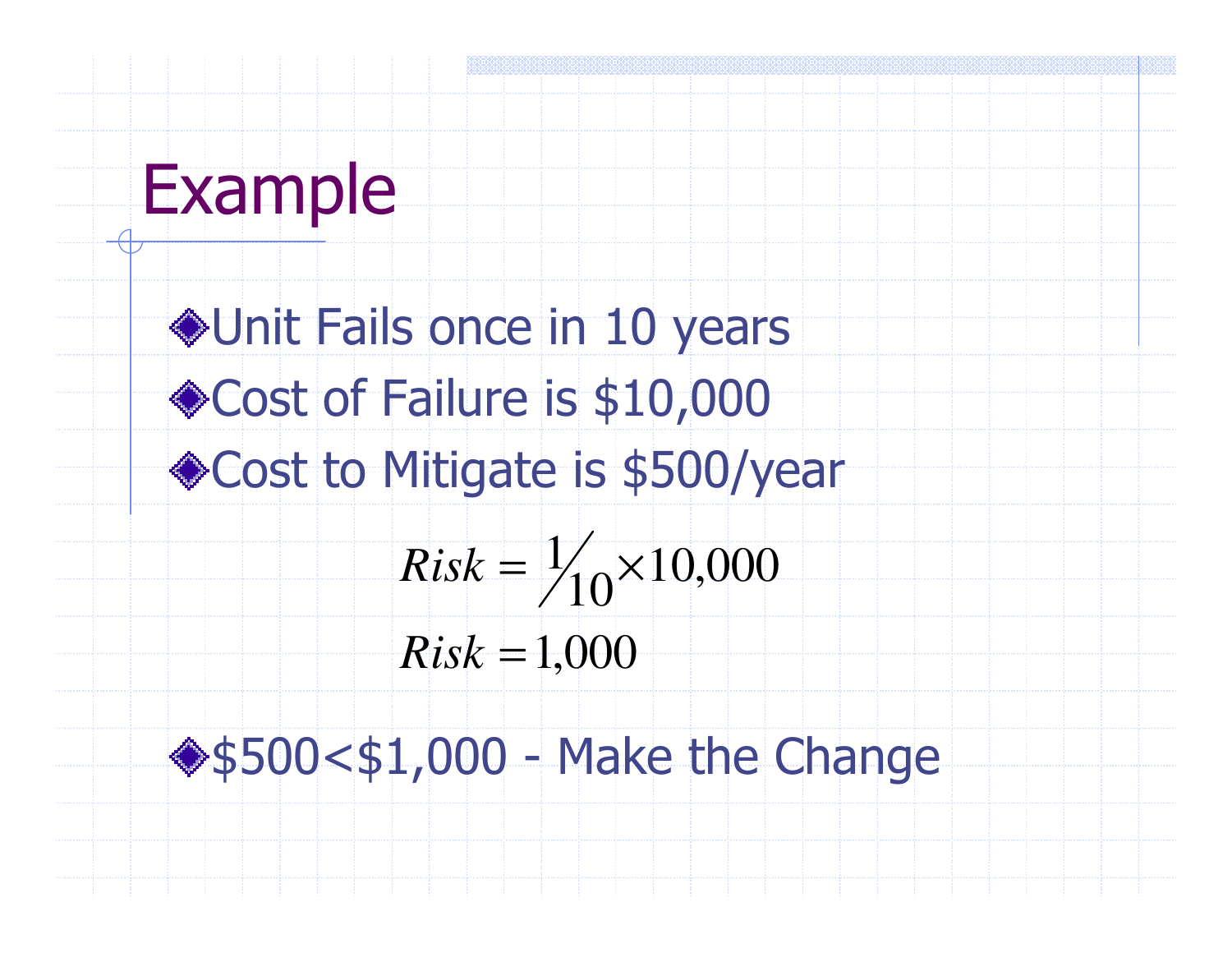

Unit Fails once in 10 years◆ Cost of Failure is \$10,000 Cost to Mitigate is \$500/year1,000 10,000 $10^{110,00}$  $\frac{1}{1}$ =*Risk* $Risk = \frac{1}{10} \times$ 

\$500<\$1,000 - Make the Change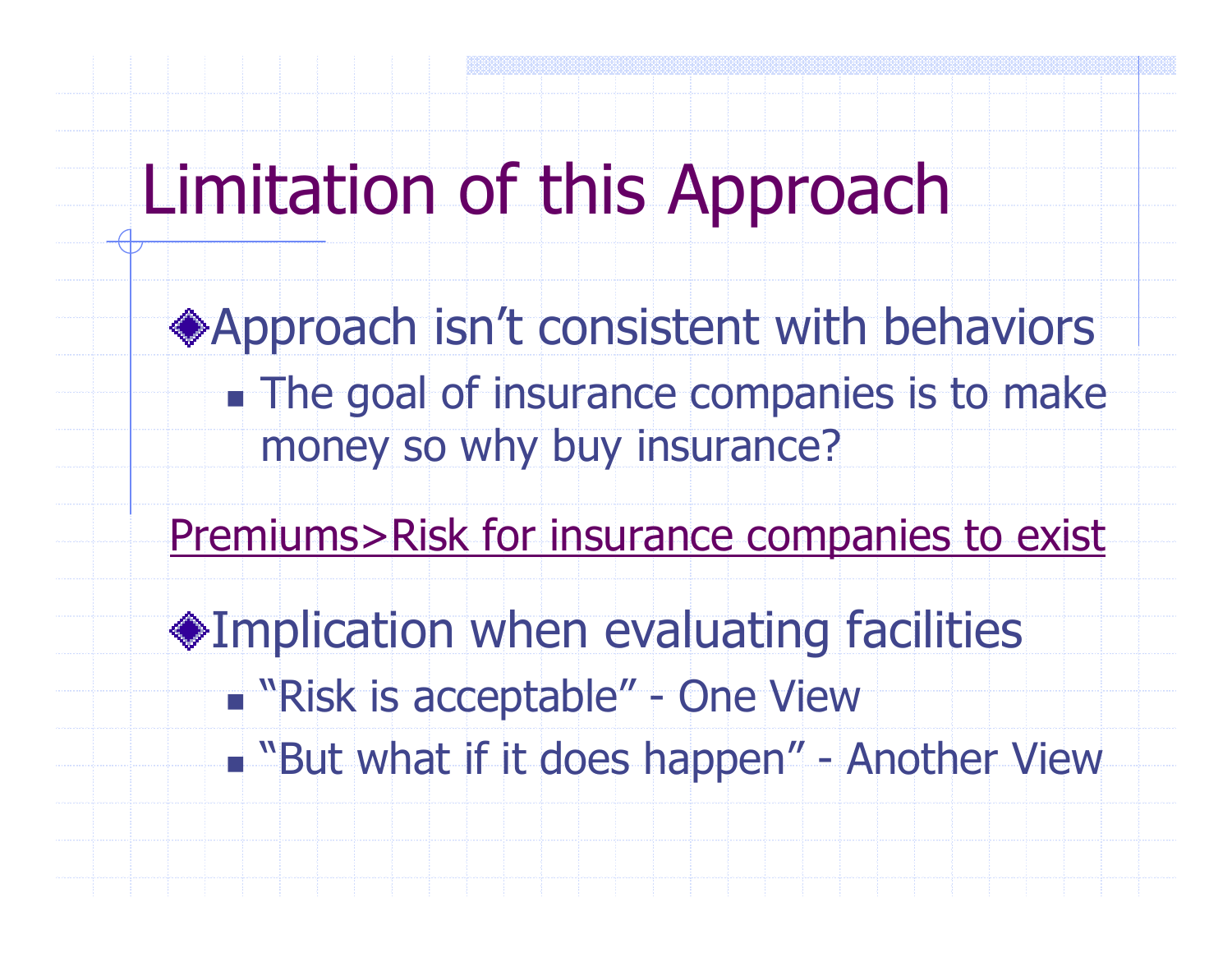## Limitation of this Approach

Approach isn't consistent with behaviorsn. **The goal of insurance companies is to make** money so why buy insurance?

Premiums>Risk for insurance companies to exist

Implication when evaluating facilitiesn. **No.** The Wiew of the Second Life it does been and "

n. **- "But what if it does happen" - Another View**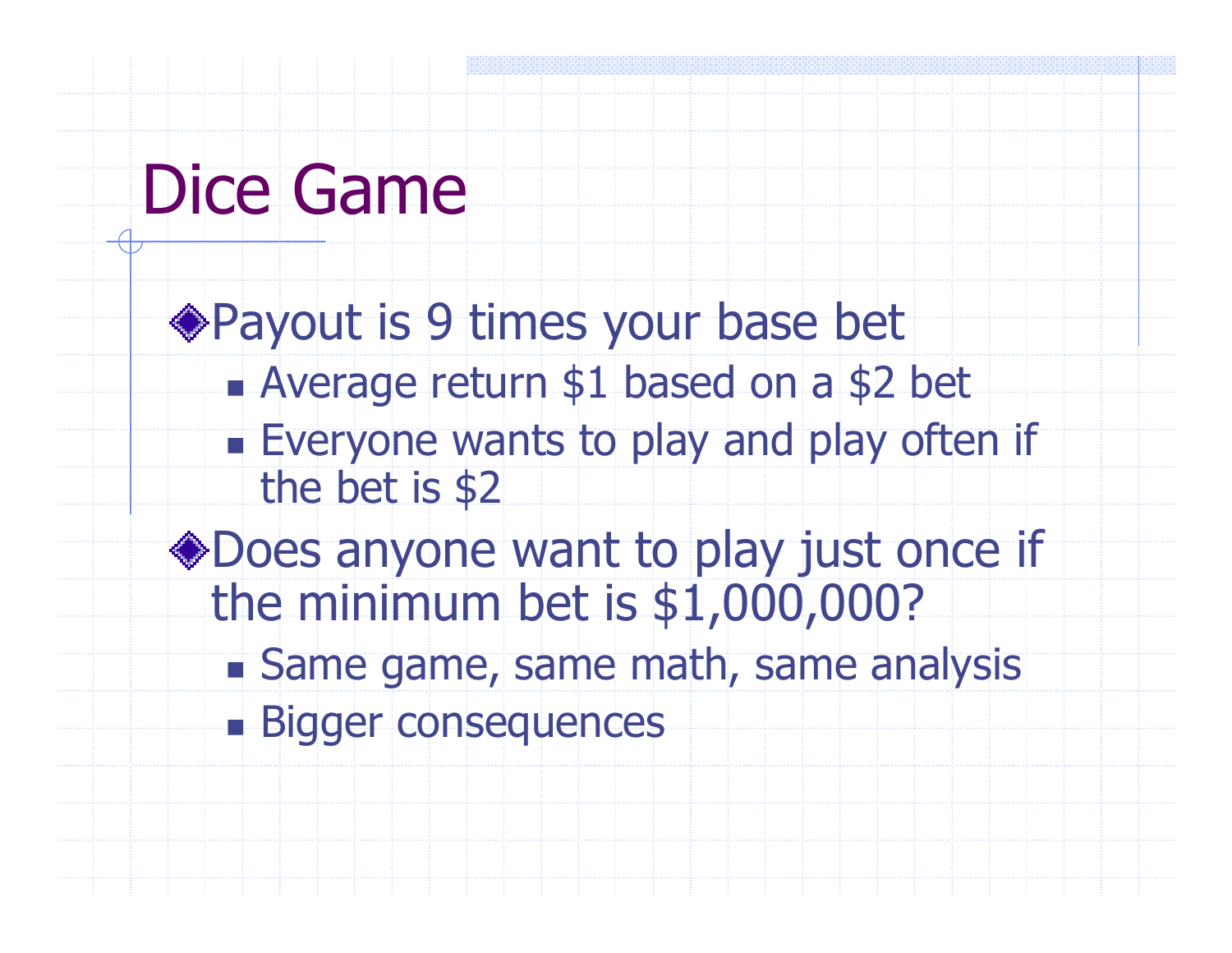# Dice Game

Payout is 9 times your base betn. Average return \$1 based on a \$2 bet

- F. **Everyone wants to play and play often if** the bet is \$2
- Does anyone want to play just once if the minimum bet is \$1,000,000?
	- n. Same game, same math, same analysis
	- n. **Bigger consequences**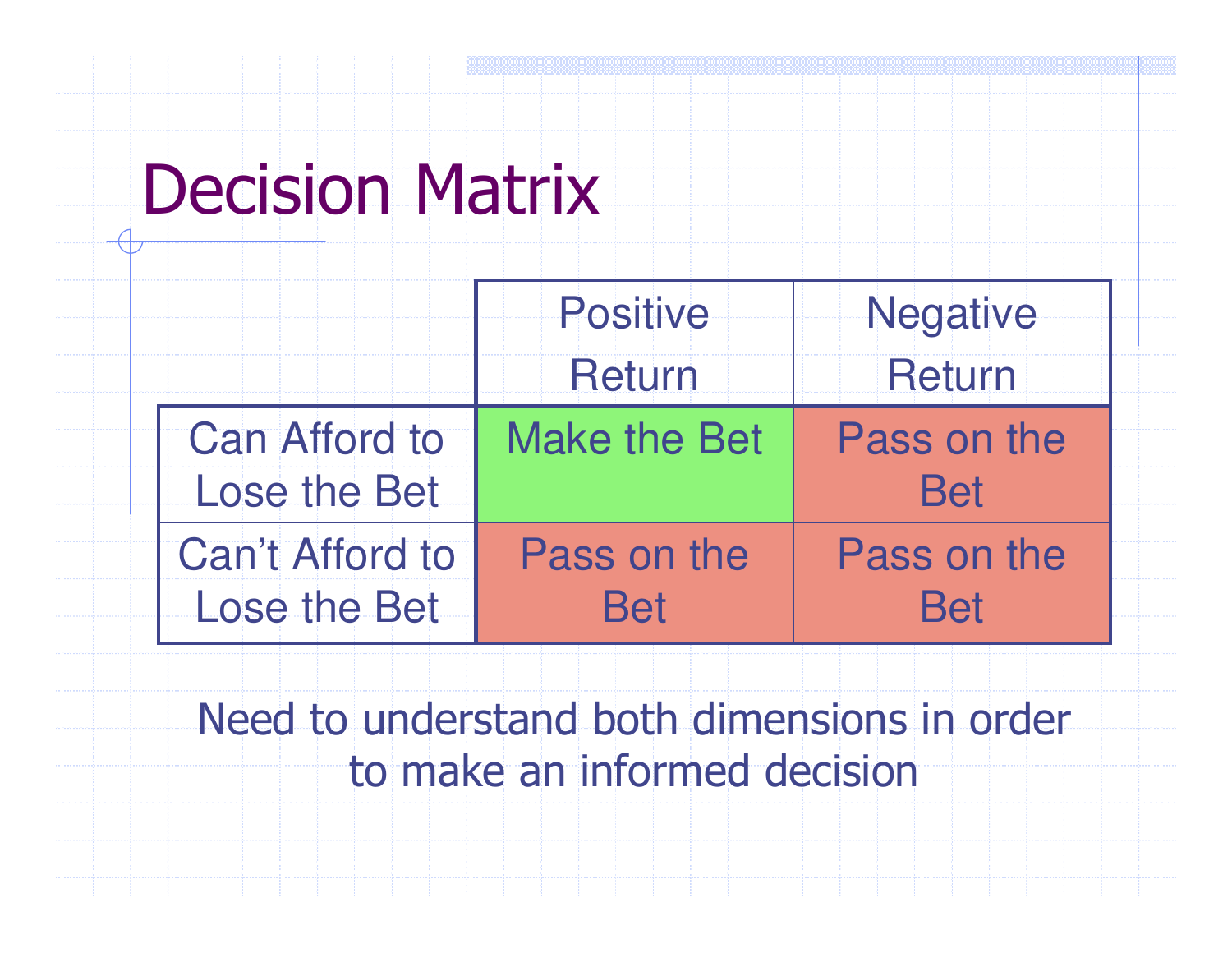## Decision Matrix

|                                             | <b>Positive</b> | <b>Negative</b>    |
|---------------------------------------------|-----------------|--------------------|
|                                             | Return          | Return             |
| <b>Can Afford to</b><br><b>Lose the Bet</b> | Make the Bet    | Pass on the<br>Boi |
| <b>Can't Afford to</b>                      | Pass on the     | Pass on the        |
| <b>Lose the Bet</b>                         | Bei             | R <sub>i</sub> a   |

Need to understand both dimensions in order to make an informed decision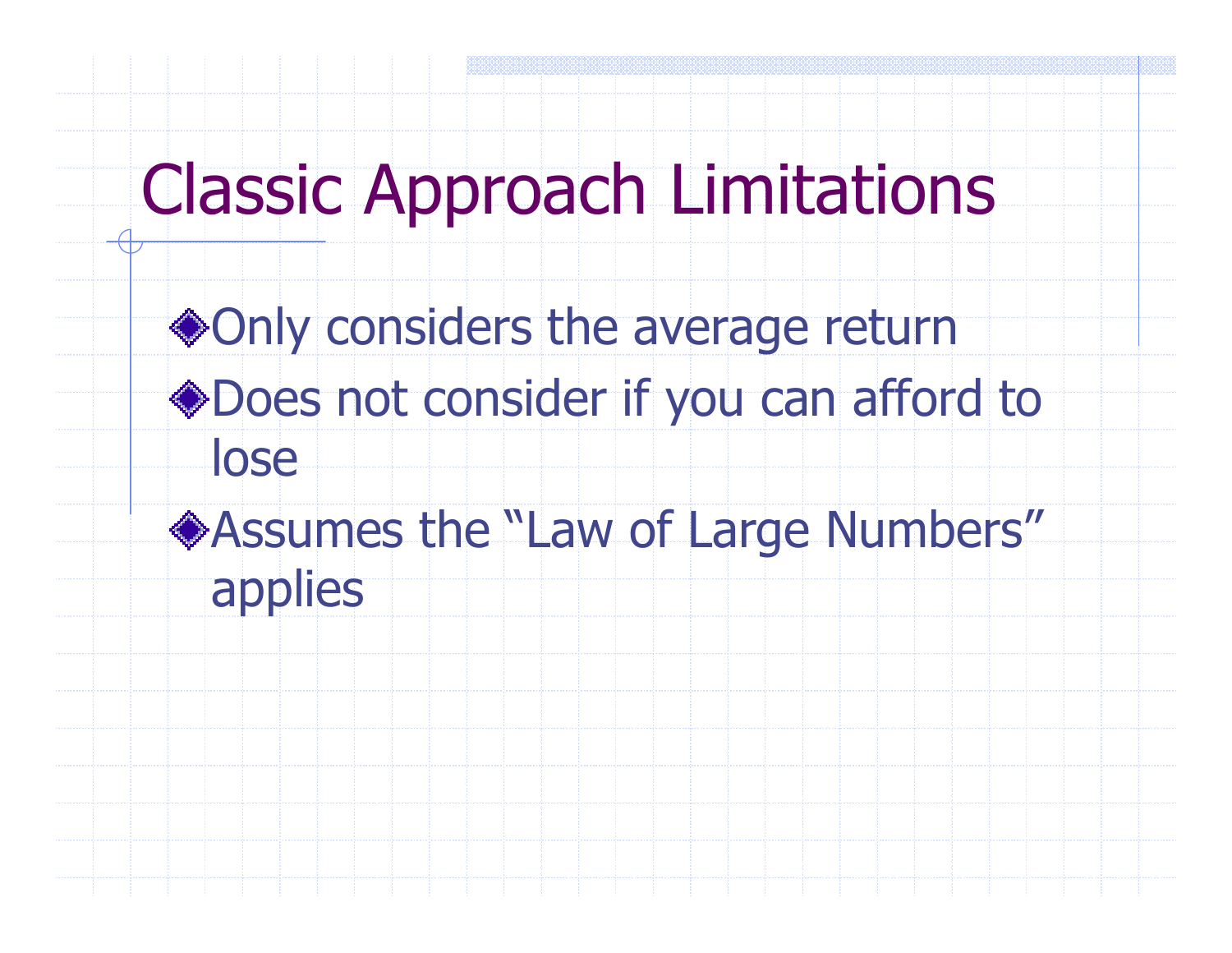# Classic Approach Limitations

◆Only considers the average return Does not consider if you can afford to lose

Assumes the "Law of Large Numbers" applies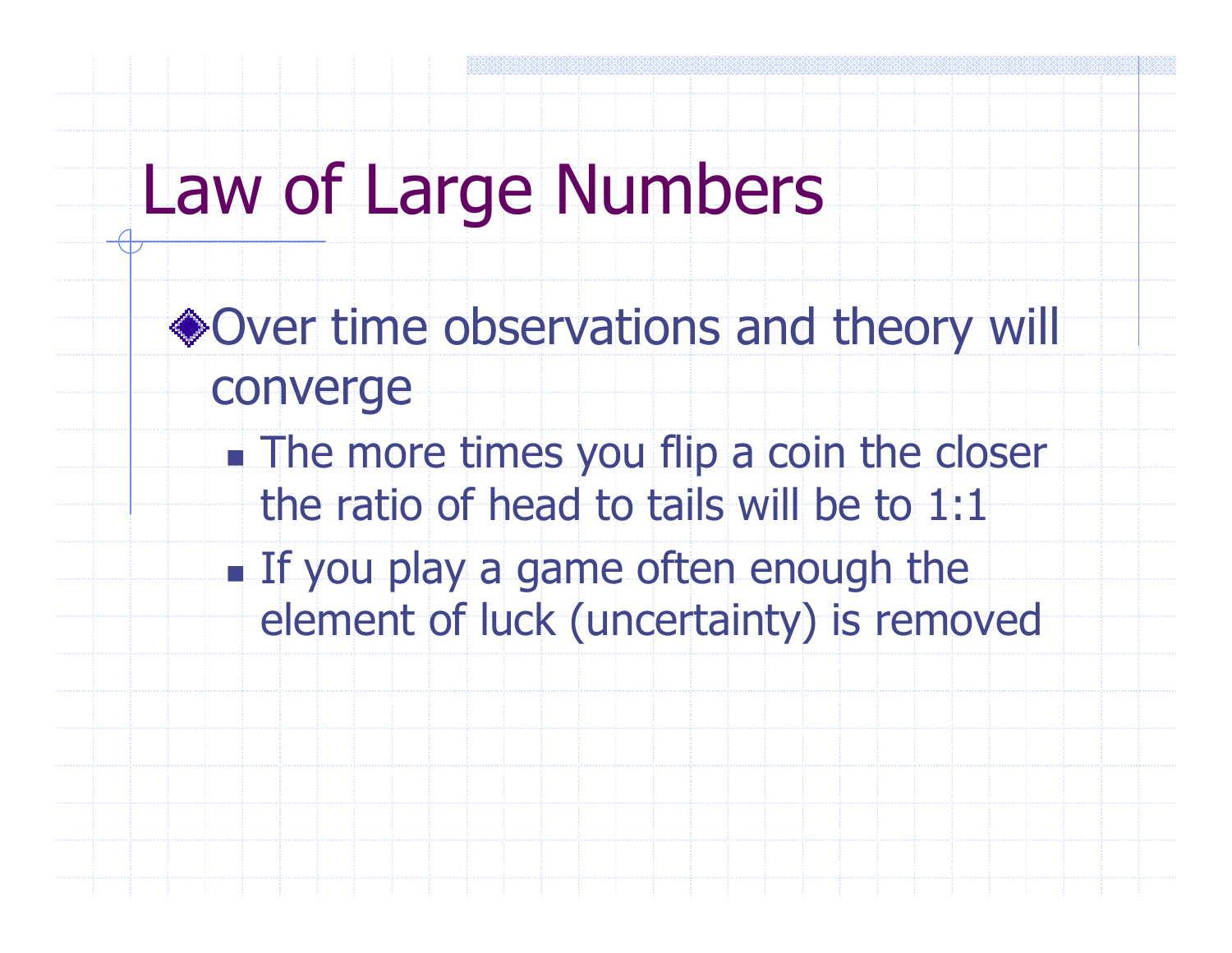# Law of Large Numbers

- ◆Over time observations and theory will converge
	- n. **The more times you flip a coin the closer** the ratio of head to tails will be to 1:1
	- n. **If you play a game often enough the** element of luck (uncertainty) is removed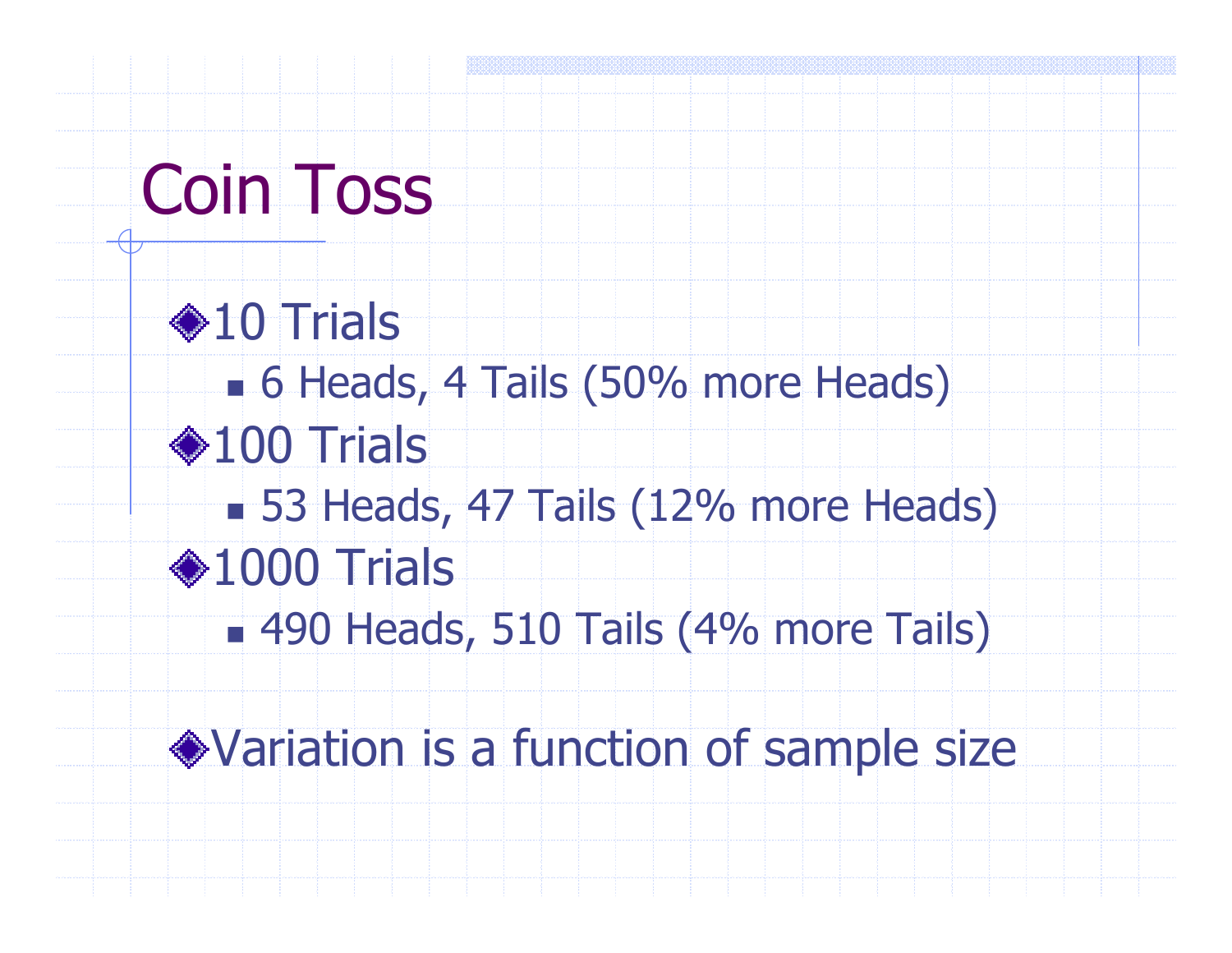# Coin Toss

**◆10 Trials** n. **6 Heads, 4 Tails (50% more Heads)** ◆100 Trials  $\mathbb{R}^2$ ■ 53 Heads, 47 Tails (12% more Heads)  $*1000$  Trials n. 490 Heads, 510 Tails (4% more Tails)

Variation is a function of sample size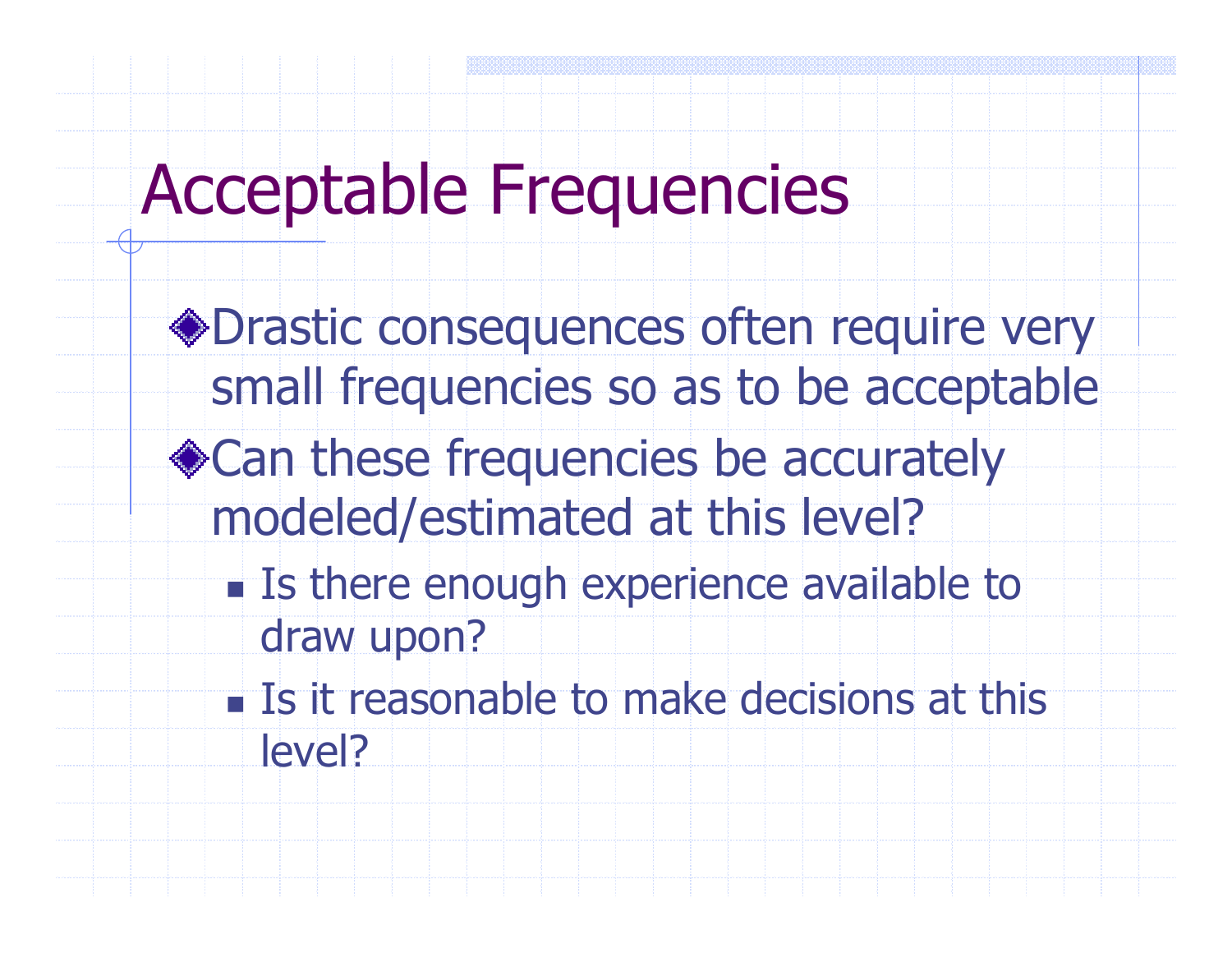## Acceptable Frequencies

- Drastic consequences often require very small frequencies so as to be acceptable
- ◆ Can these frequencies be accurately modeled/estimated at this level?
	- r. **Is there enough experience available to** draw upon?
	- n. **Is it reasonable to make decisions at this** level?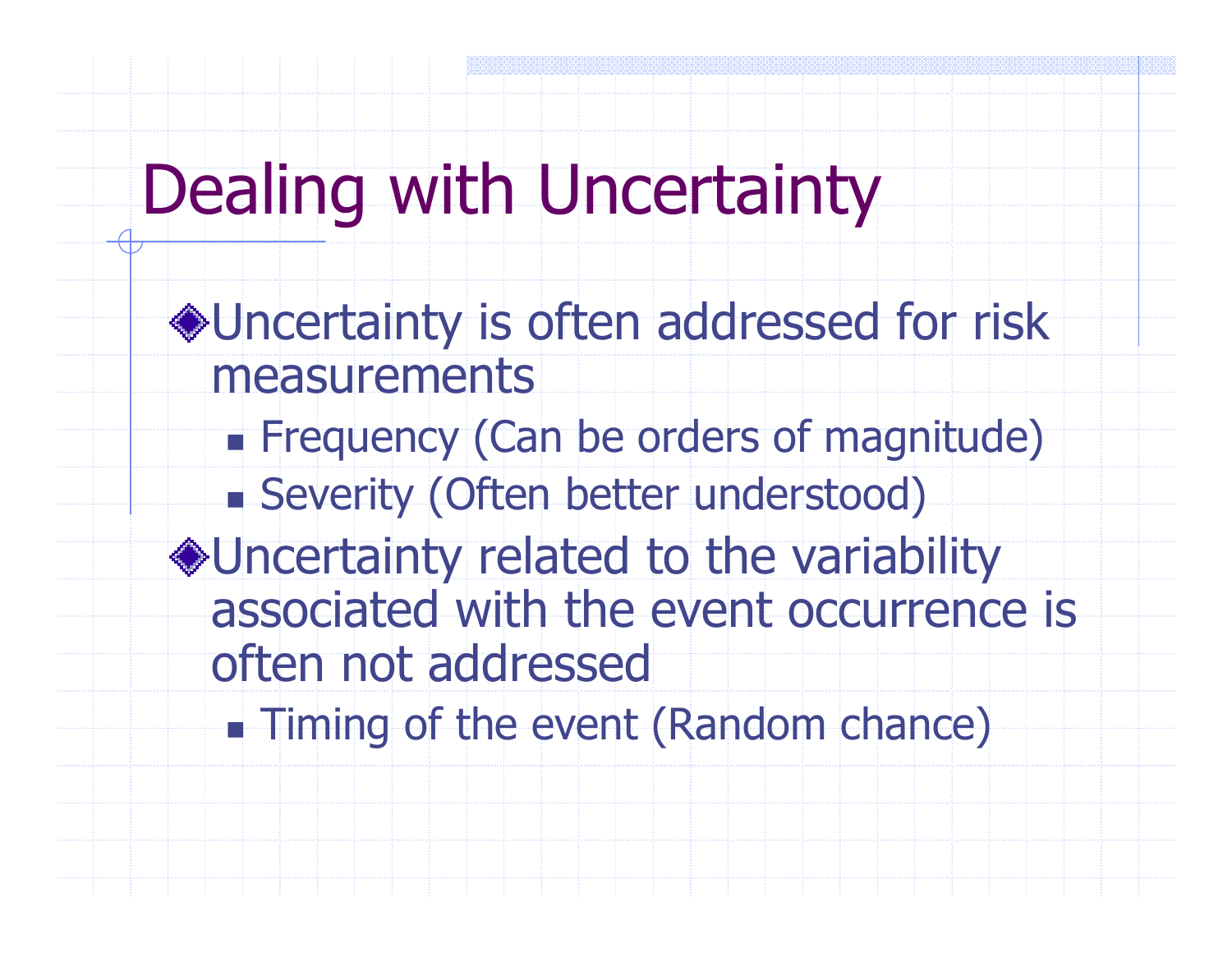# Dealing with Uncertainty

Uncertainty is often addressed for risk measurementsn. Frequency (Can be orders of magnitude) Severity (Often better understood) Uncertainty related to the variability associated with the event occurrence is often not addressed

n. **- Timing of the event (Random chance)**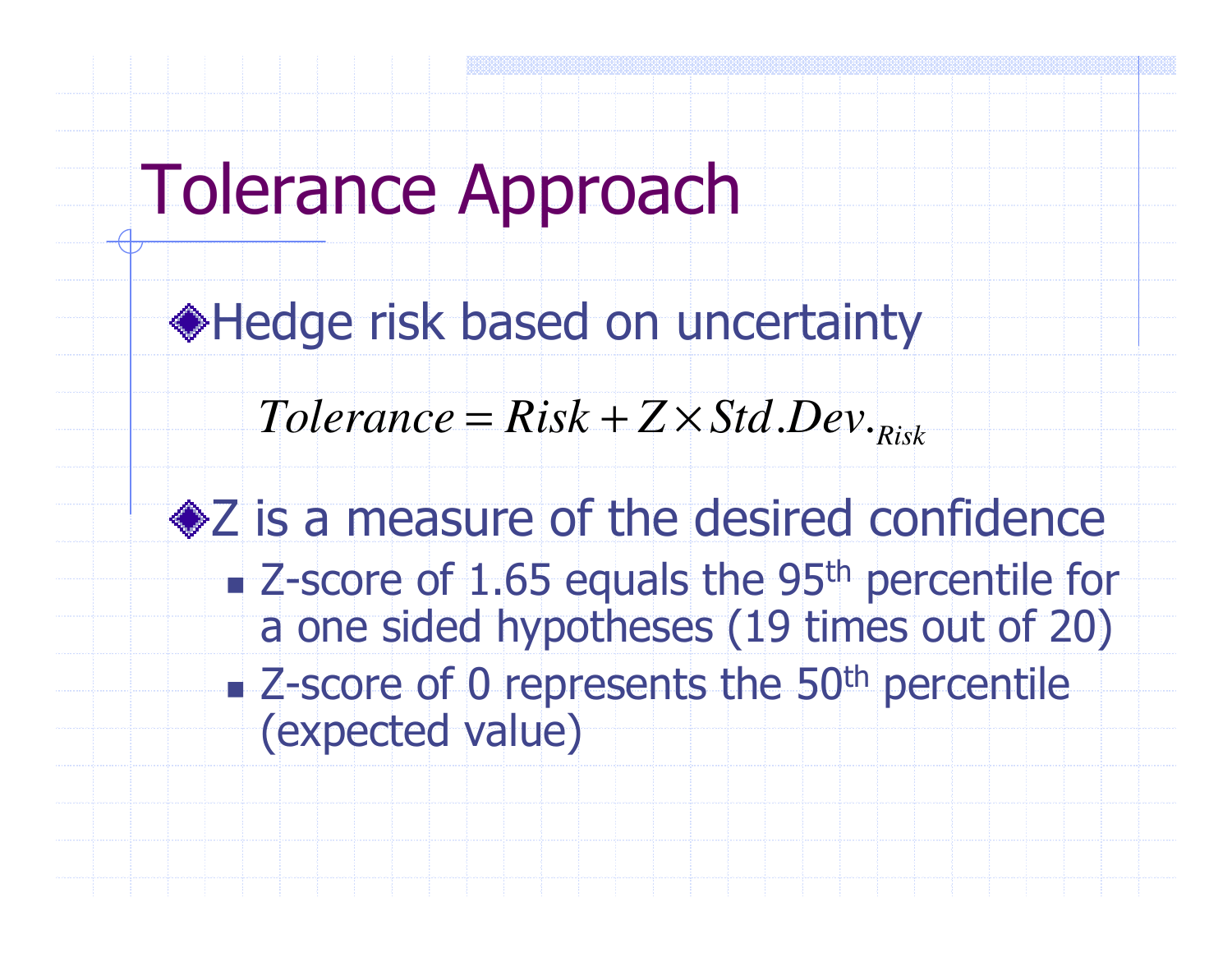# Tolerance Approach

Hedge risk based on uncertainty

 $Tolerance = Risk + Z \times Std$  *Dev*  $R_{Risk}$  $=$   $R$ <sub>IS</sub> $k + Z \times$  $\ldots$ 

• Z is a measure of the desired confidence r. ■ Z-score of 1.65 equals the 95<sup>th</sup> percentile for a one sided hypotheses (19 times out of 20)n. ■ Z-score of 0 represents the 50<sup>th</sup> percentile (expected value)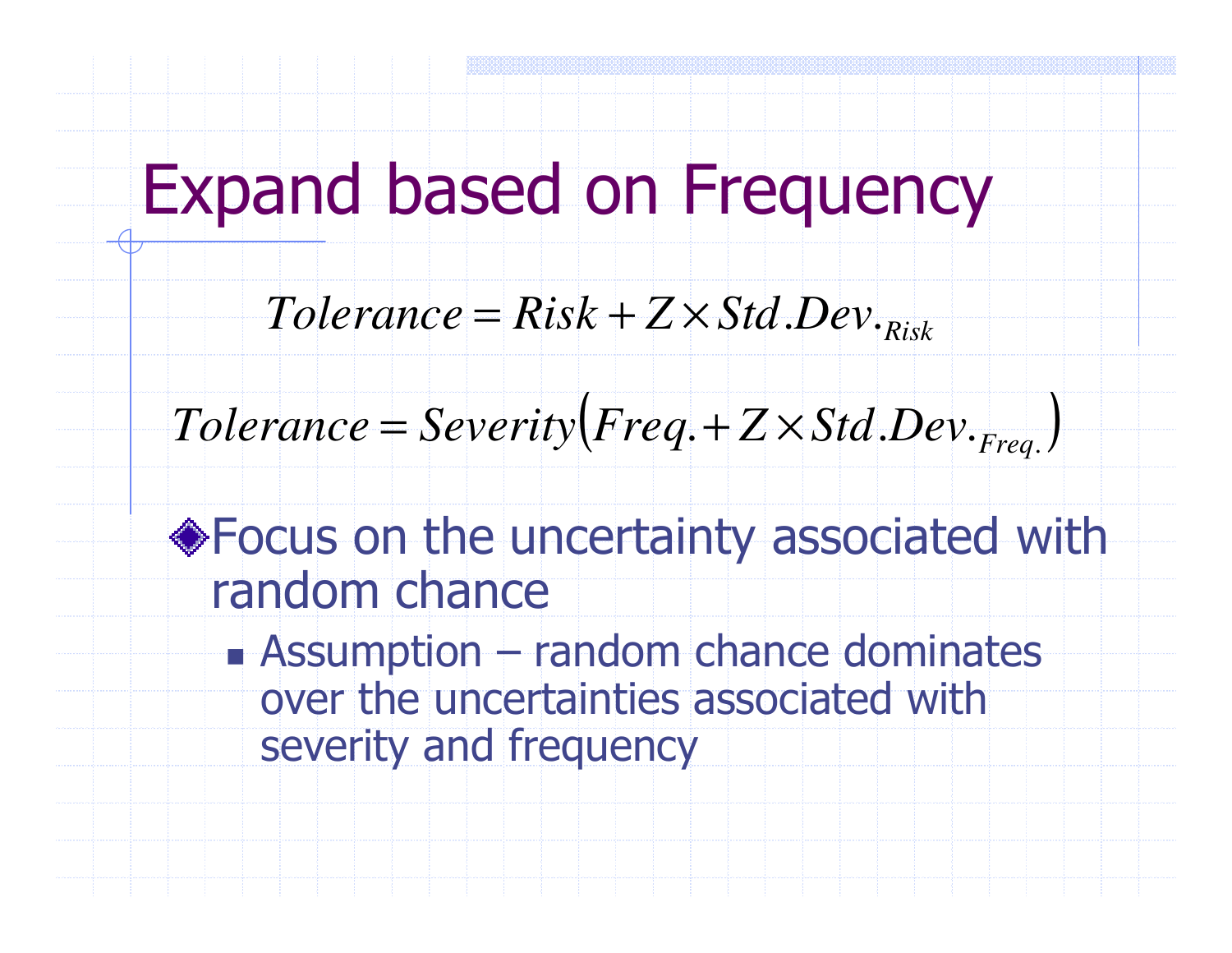# Expand based on Frequency

### $Tolerance = Risk + Z \times Std$  *Dev*  $R_{Risk}$  $=$  Risk + Z  $\times$  $\ldots$

#### $\Big($  $Tolerance = Severity(Freq.+Z\times Std.Dev._{Frea.})$ = $=$  *Severity*  $(Freq + Z \times Std$  *Dev*  $_{Freq}$

### Focus on the uncertainty associated with random chance

n. Assumption – random chance dominates<br>
over the uncertainties associated with over the uncertainties associated with severity and frequency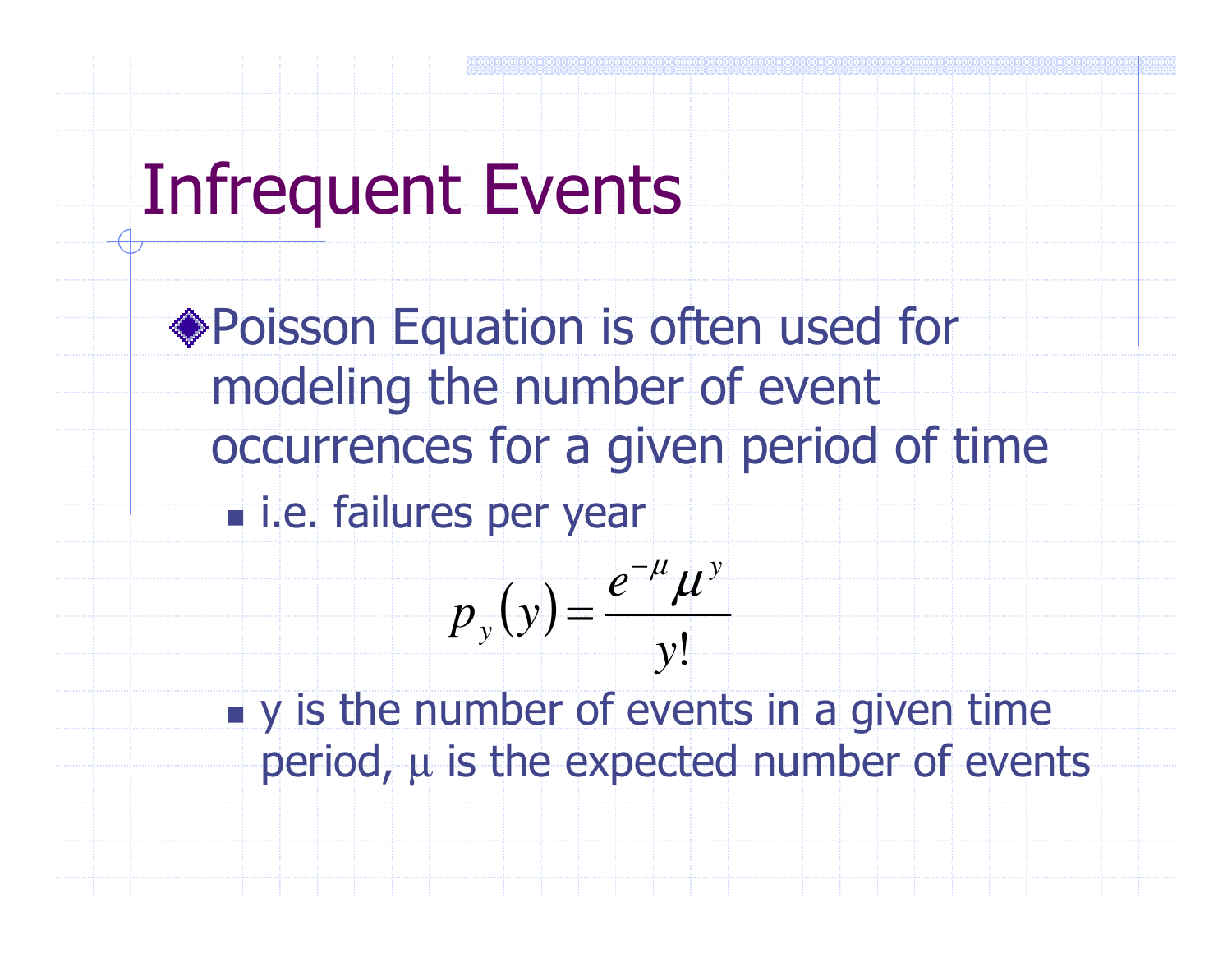## Infrequent Events

Poisson Equation is often used for modeling the number of event occurrences for a given period of timen. **.** i.e. failures per year

$$
p_{y}(y) = \frac{e^{-\mu} \mu^{y}}{y!}
$$

n. **u** y is the number of events in a given time period,  $\mu$  is the expected number of events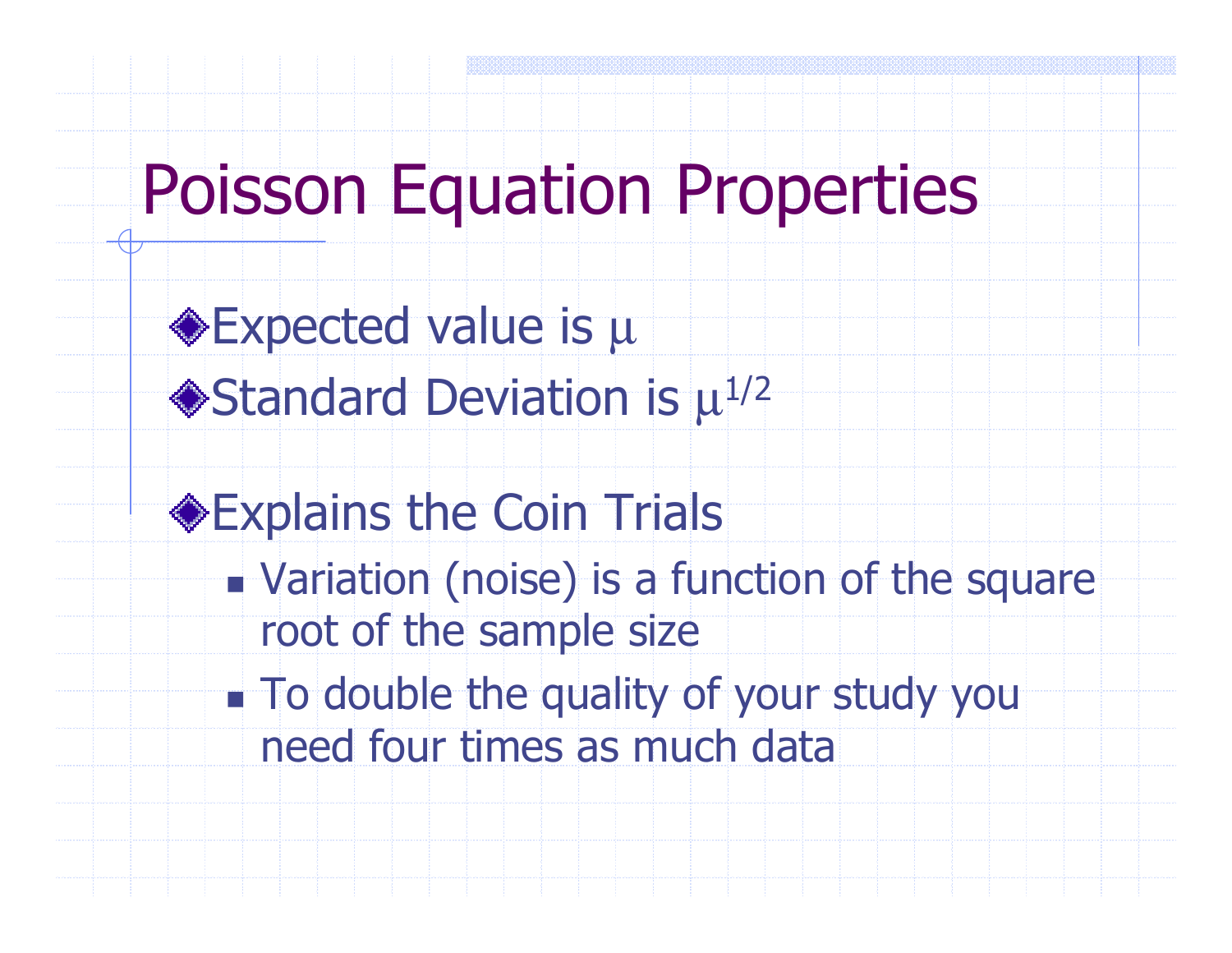## Poisson Equation Properties

Expected value is µStandard Deviation is  $\mu^{1/2}$ 

Explains the Coin Trials

n. **Example 2 Figure 10 is a function of the square** root of the sample size

n. **To double the quality of your study you** need four times as much data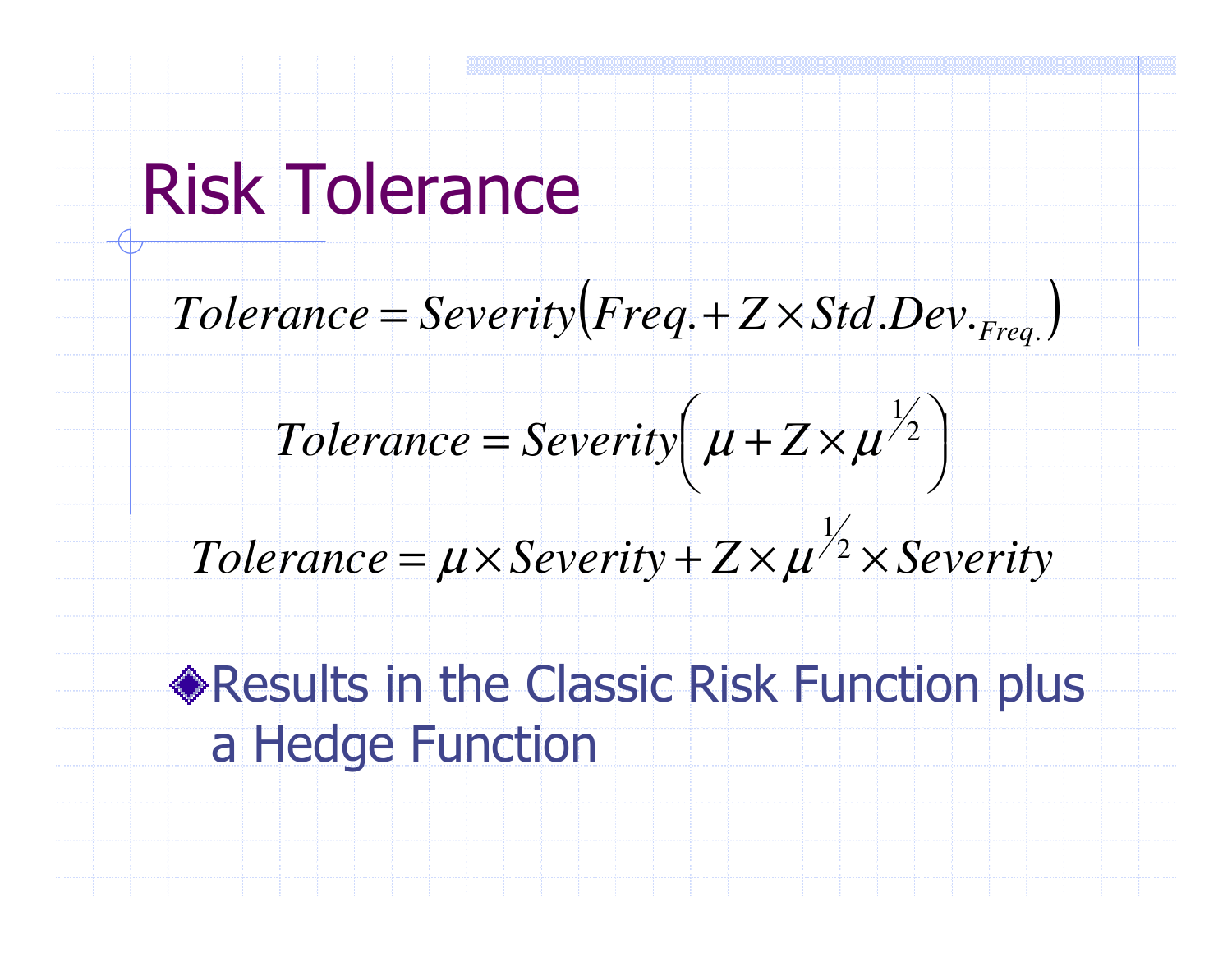# Risk Tolerance

 $\Big($  $Tolerance = Severity(Freq.+Z\times Std.Dev._{Frea.})$ = $=$  *Severity*  $(Freq + Z \times Std$  *Dev*  $_{Freq}$ 

 $\int$  $\setminus$  $\bigg($  $=$  Severity + $\times$ 21 $Tolerance = Severity \left[\mu + Z \times \mu^2\right]$ *Z* $\mu$ 

### $Tolerance = \mu \times Security + Z \times \mu^2 \times Security$ 1 $\mu \times$ Severity +  $\angle \times \mu$

**Results in the Classic Risk Function plus** a Hedge Function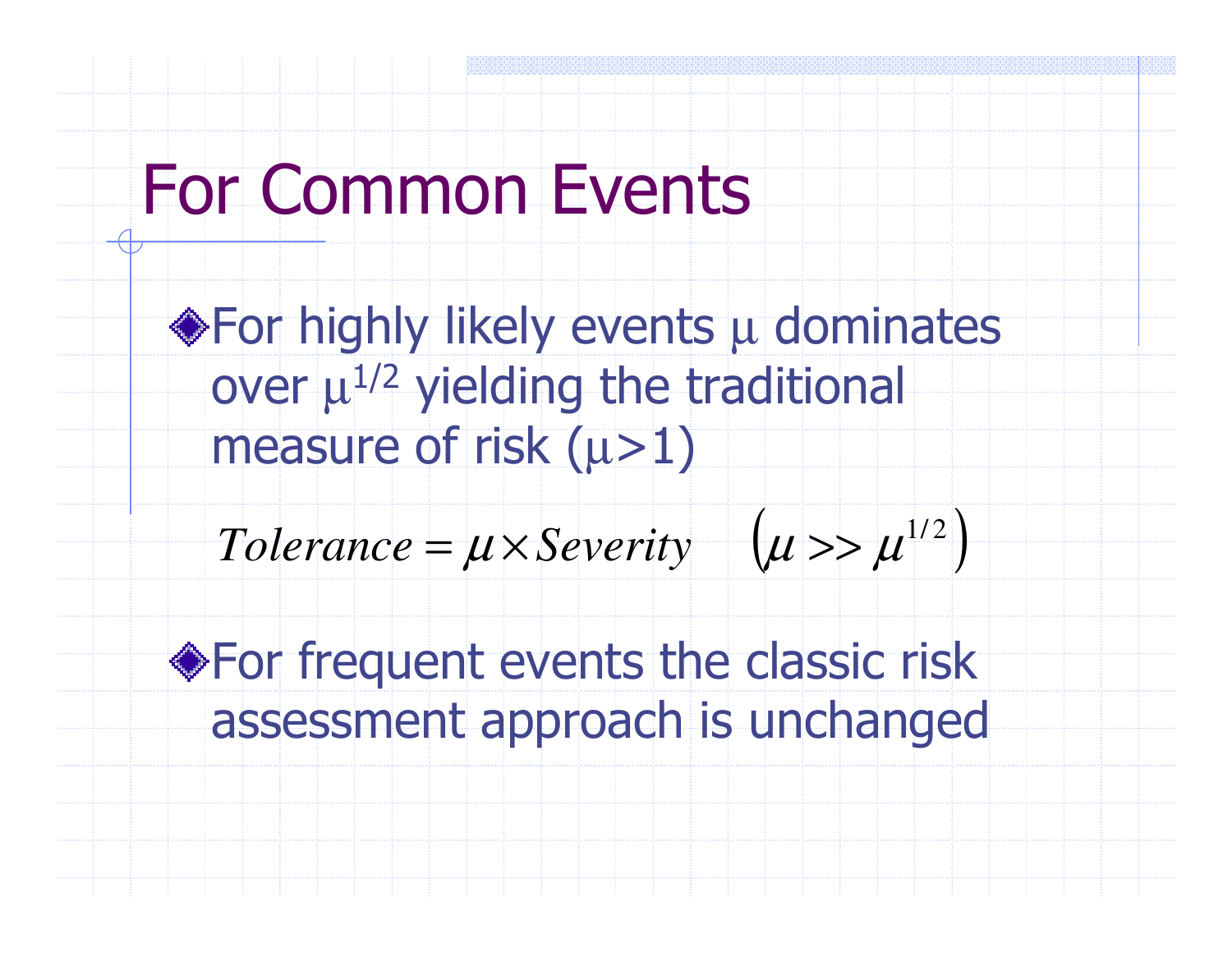# For Common Events

For highly likely events  $\mu$  dominates over  $\mu^{1/2}$  yielding the traditional measure of risk (µ>1)

( $Tolerance = \mu \times Severity$   $(\mu >> \mu^{1/2})$  $=\mu \times$  *Severity*  $\mu > \mu$ 

)<br>)

**Struct** For frequent events the classic risk assessment approach is unchanged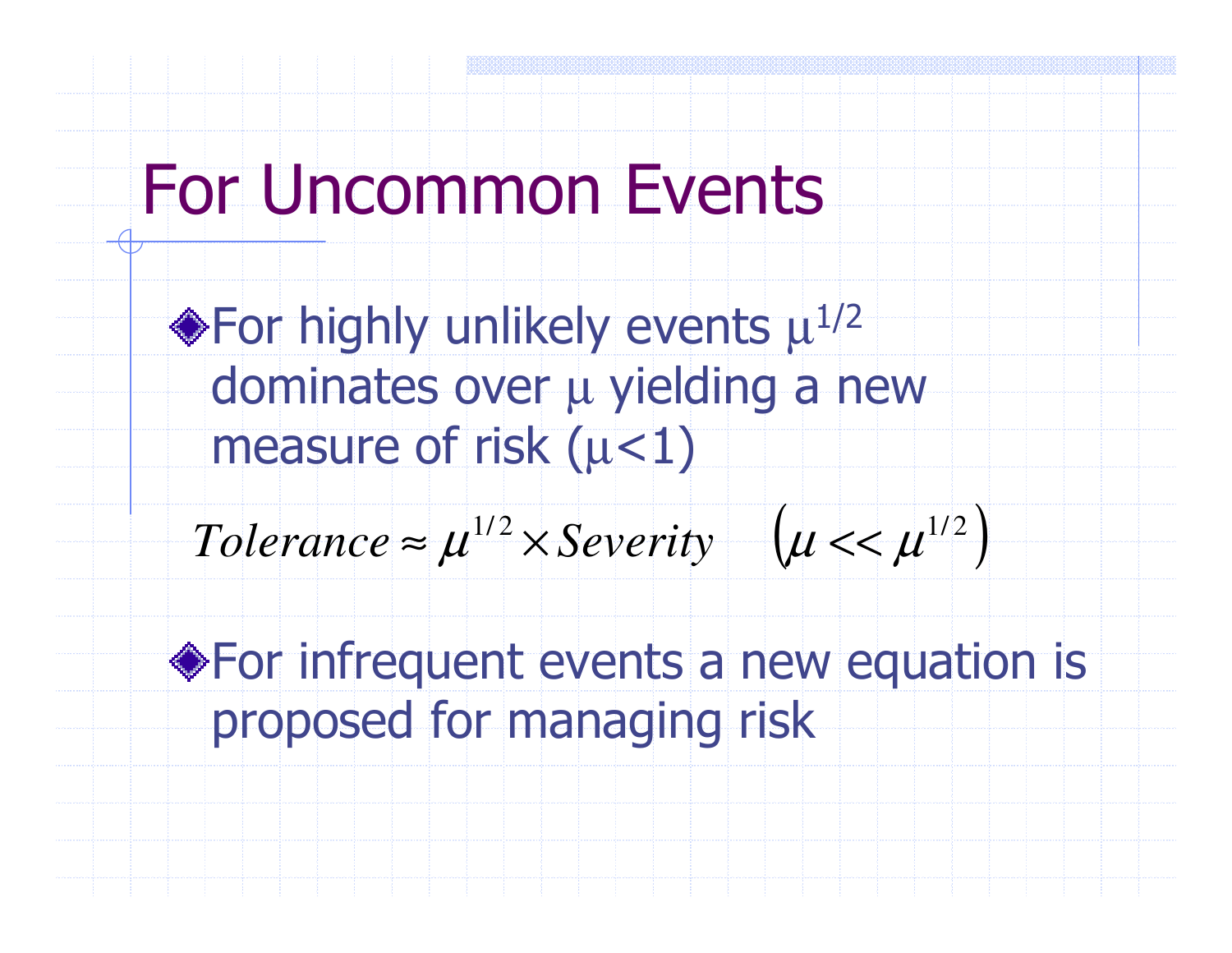# For Uncommon Events

For highly unlikely events  $\mu^{1/2}$ dominates over µ yielding yielding a new measure of risk ( $\mu$ <1)

$$
Tolerance \approx \mu^{1/2} \times Severity \quad (u << \mu^{1/2}
$$

For infrequent events a new equation is proposed for managing risk

)<br>)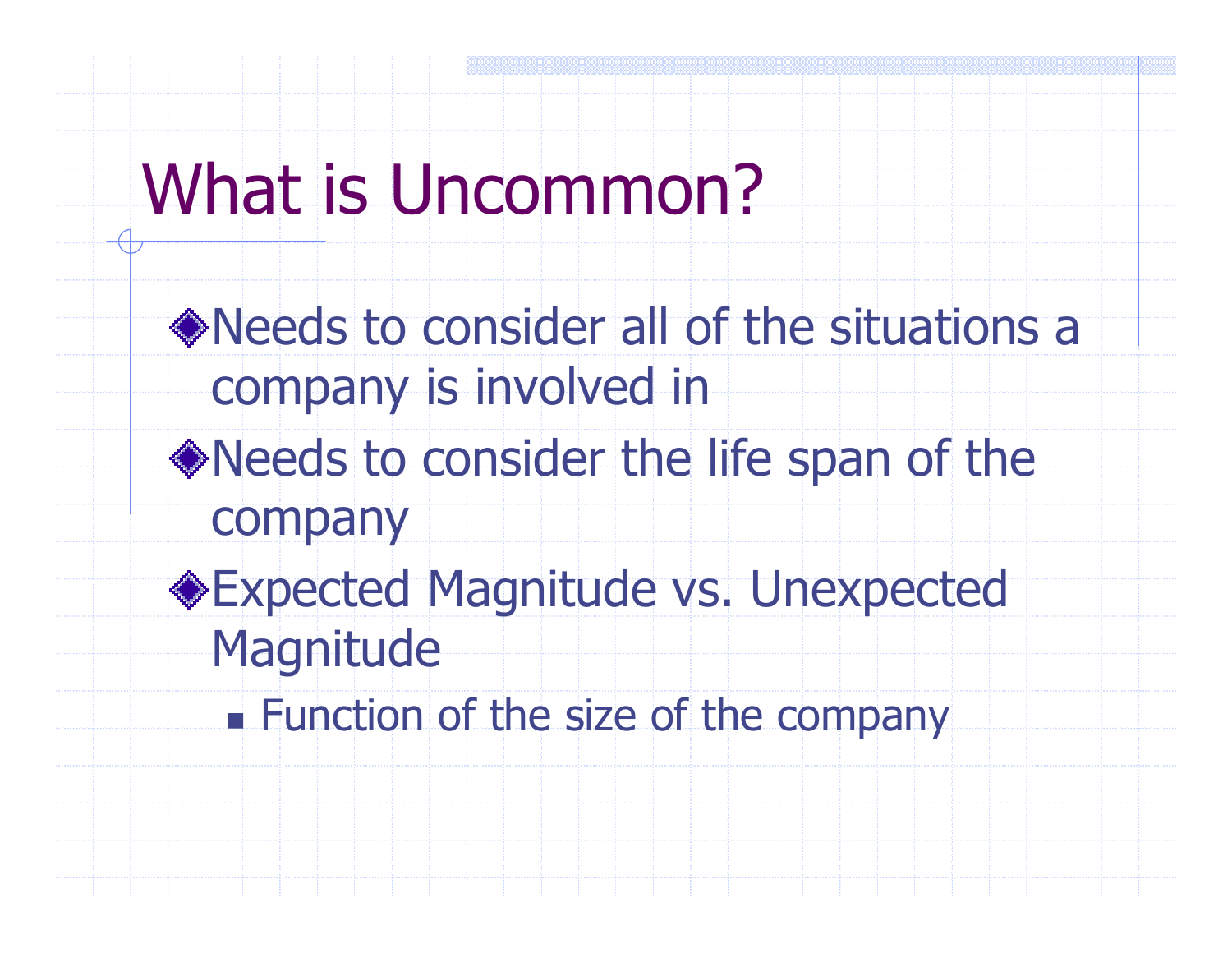# What is Uncommon?

- Needs to consider all of the situations a company is involved in
- Needs to consider the life span of the company
- Expected Magnitude vs. Unexpected **Magnitude** 
	- n. **Eunction of the size of the company**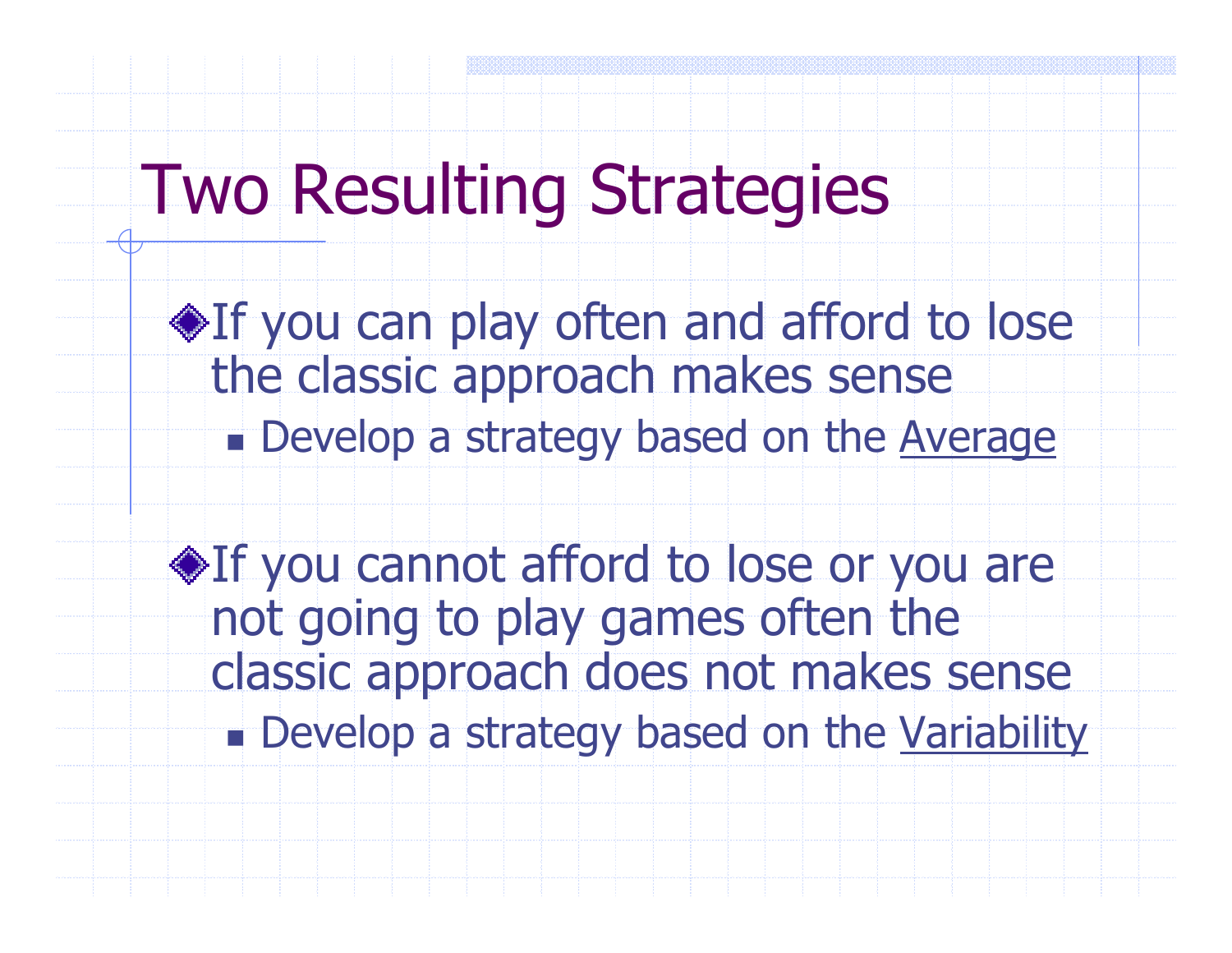# Two Resulting Strategies

 $\triangle$ If you can play often and afford to lose the classic approach makes sensen. **n** Develop a strategy based on the Average

 $\triangle$ If you cannot afford to lose or you are not going to play games often the classic approach does not makes sensen. **Develop a strategy based on the Variability**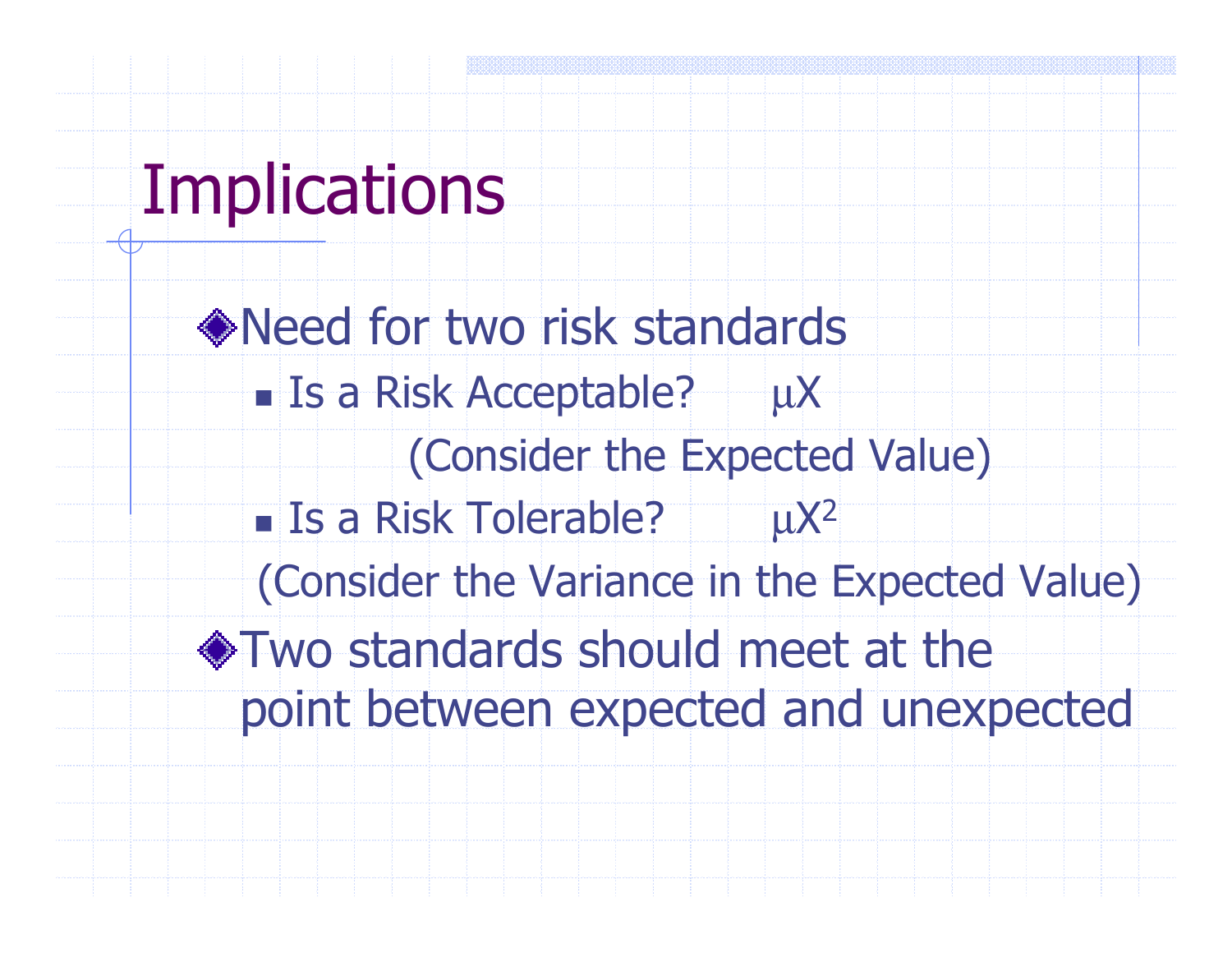# **Implications**

Need for two risk standardsr. **Is a Risk Acceptable?**  $\mu$ X (Consider the Expected Value)n. **Is a Risk Tolerable?**  $\mu$ X<sup>2</sup> (Consider the Variance in the Expected Value)Two standards should meet at the point between expected and unexpected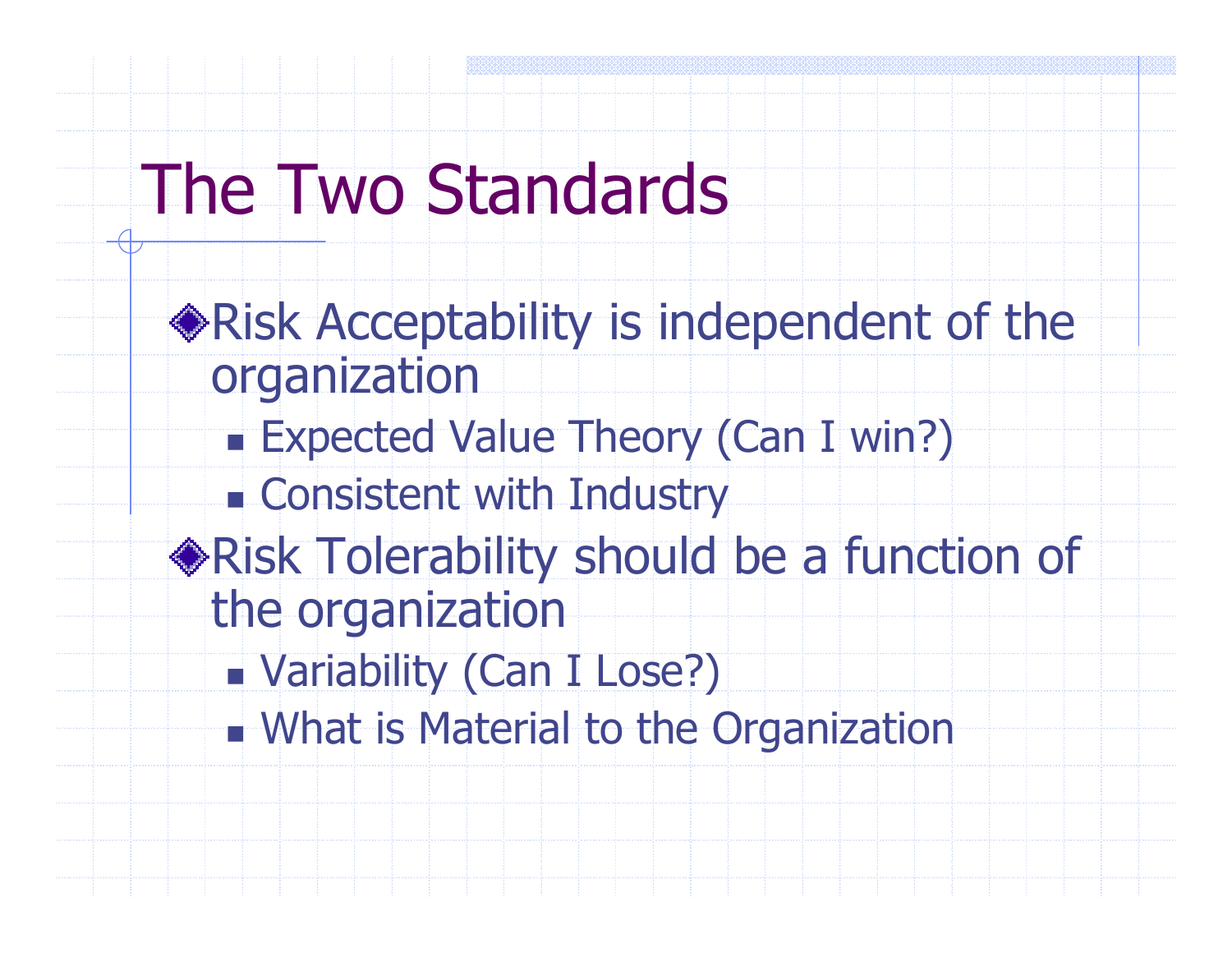# The Two Standards

Risk Acceptability is independent of the organizationn. Expected Value Theory (Can I win?) Consistent with Industry Risk Tolerability should be a function of the organization Variability (Can I Lose?) n. What is Material to the Organization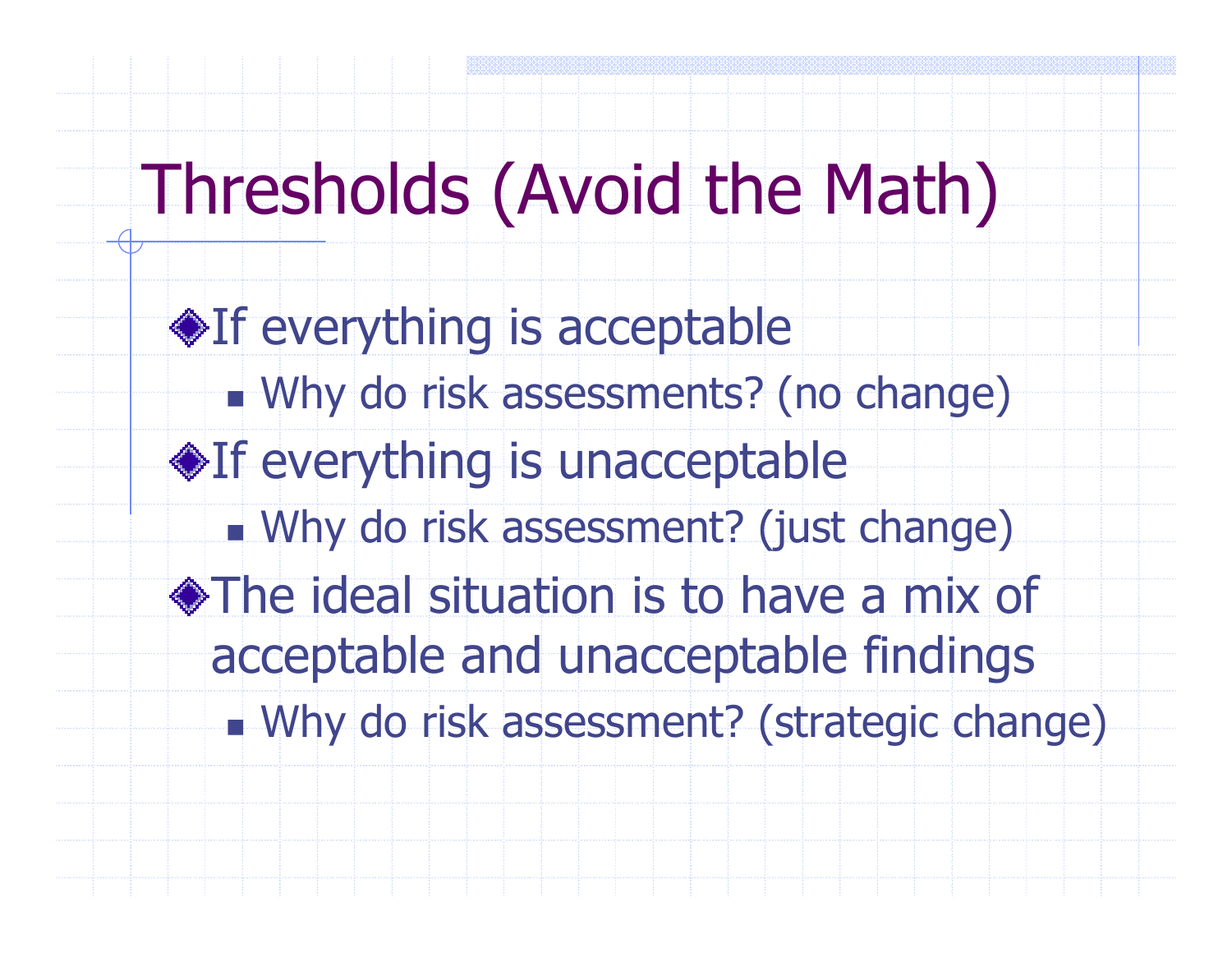# Thresholds (Avoid the Math)

♦If everything is acceptable n. Why do risk assessments? (no change) **If everything is unacceptable** n. Why do risk assessment? (just change) The ideal situation is to have a mix of acceptable and unacceptable findings Why do risk assessment? (strategic change)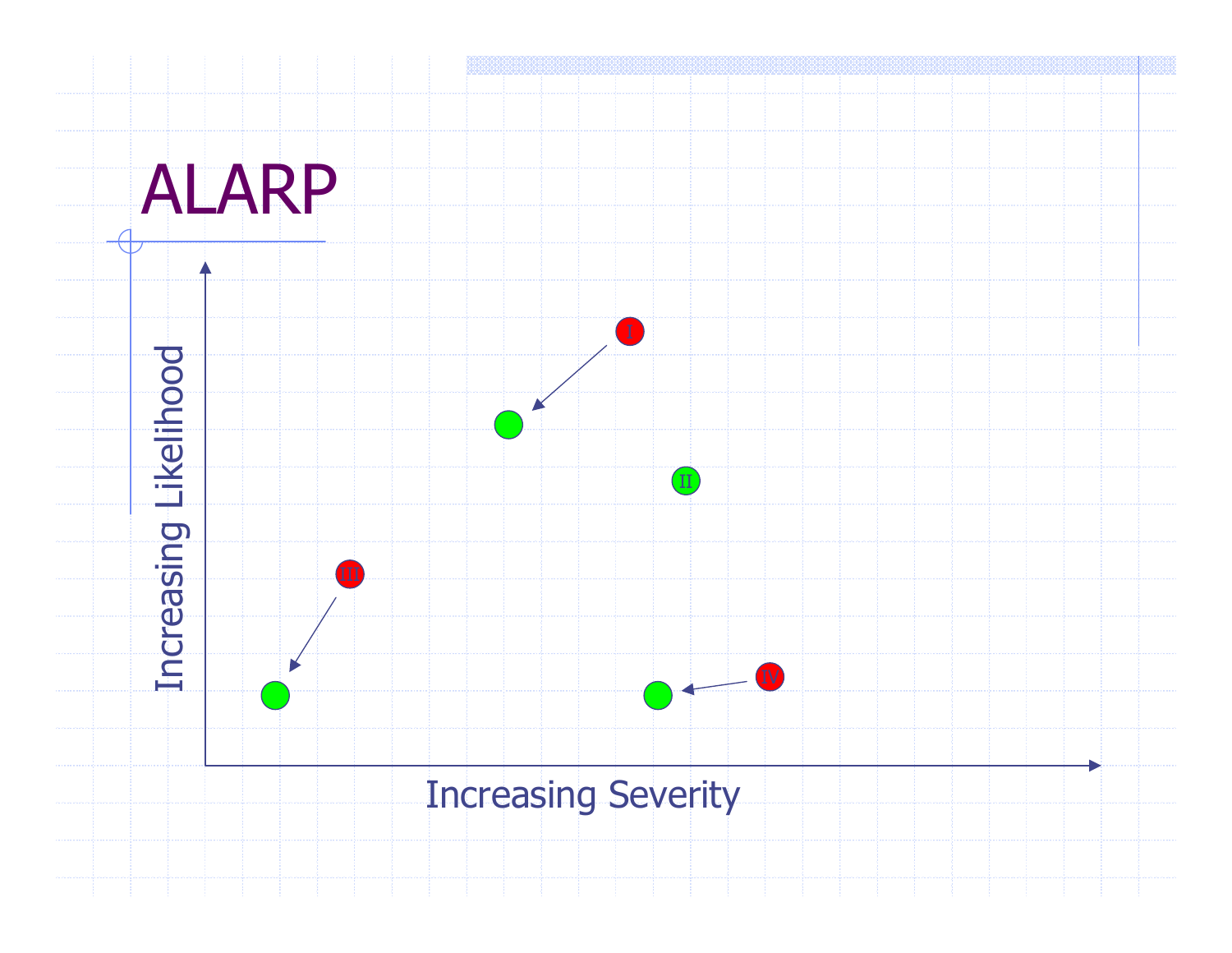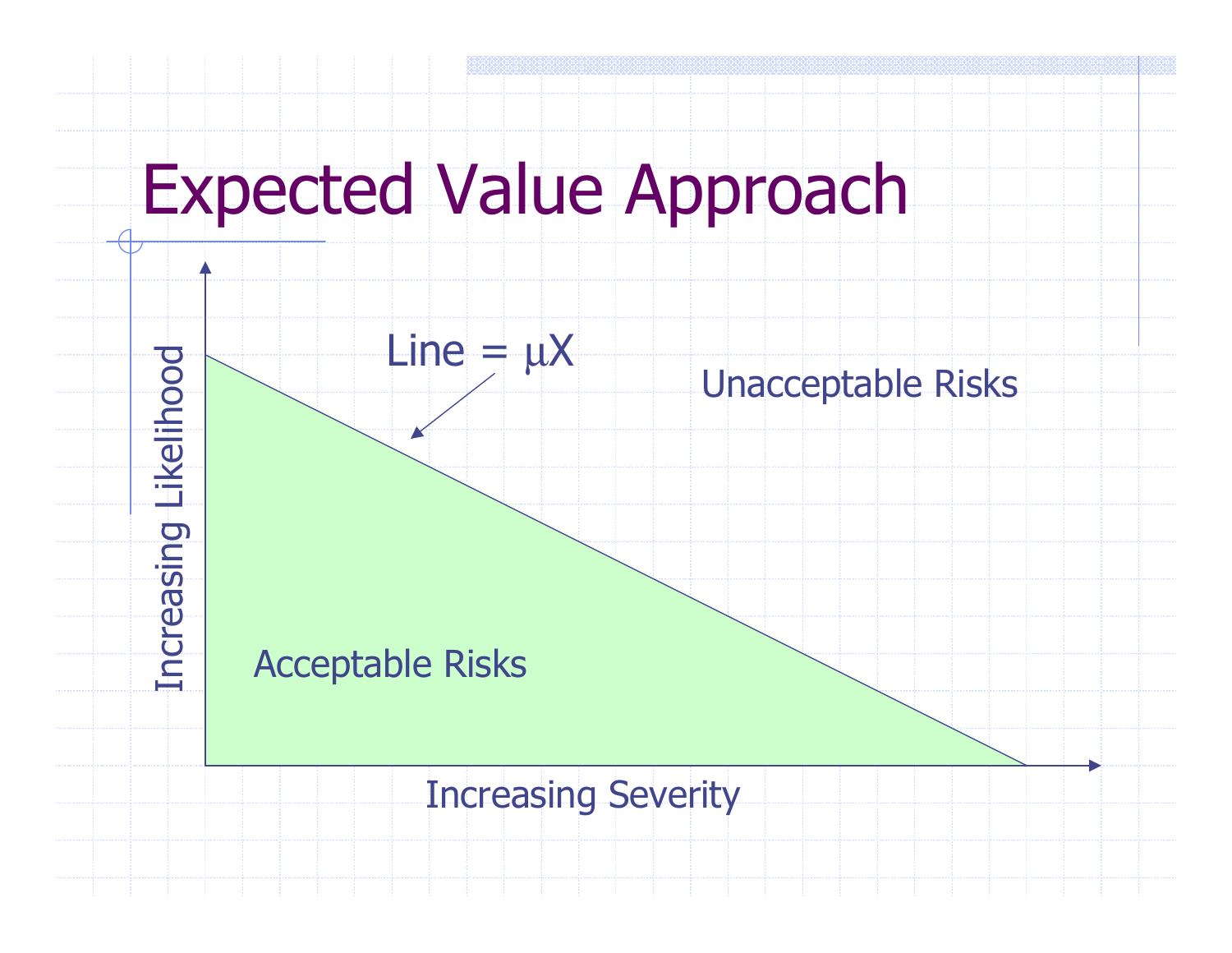

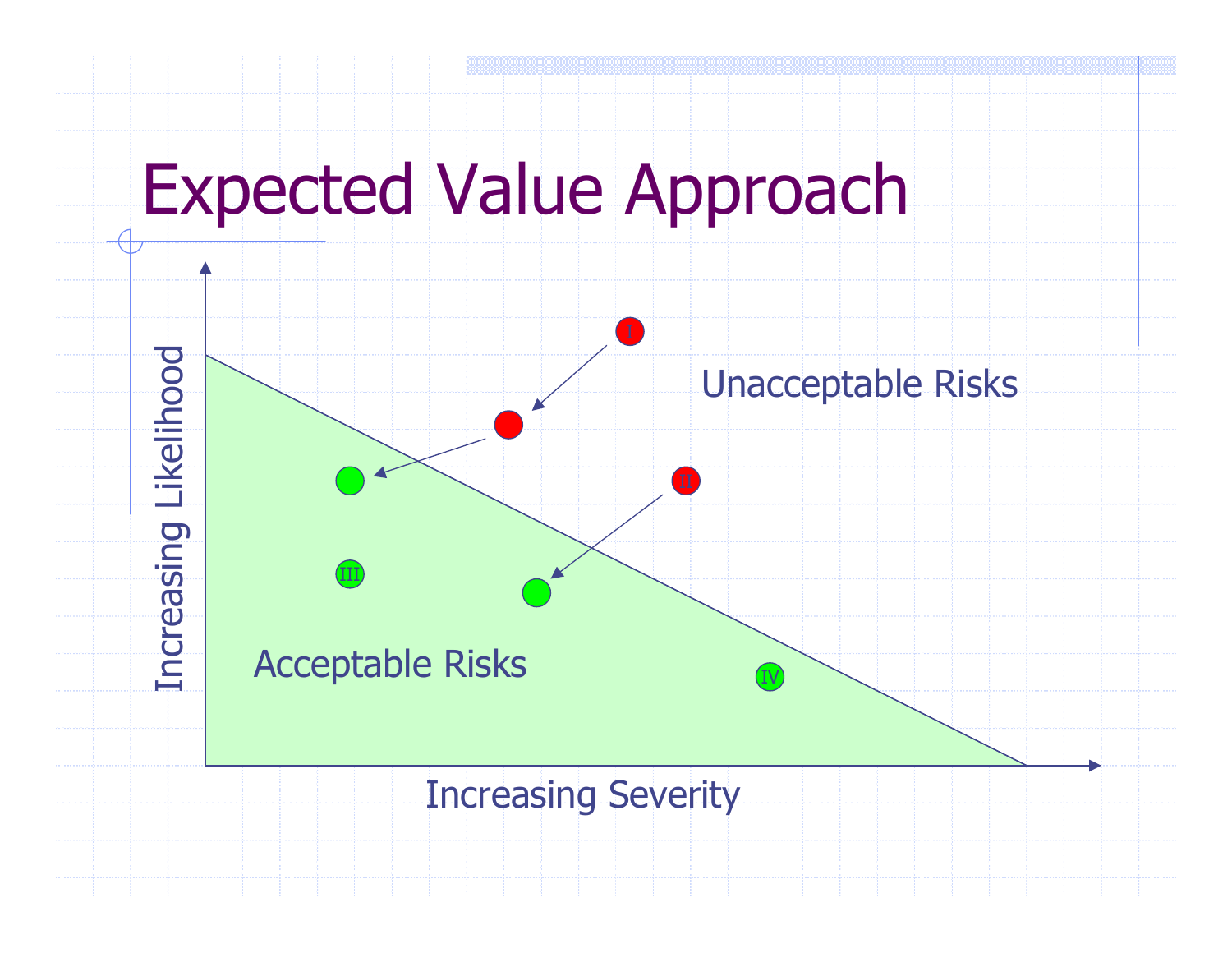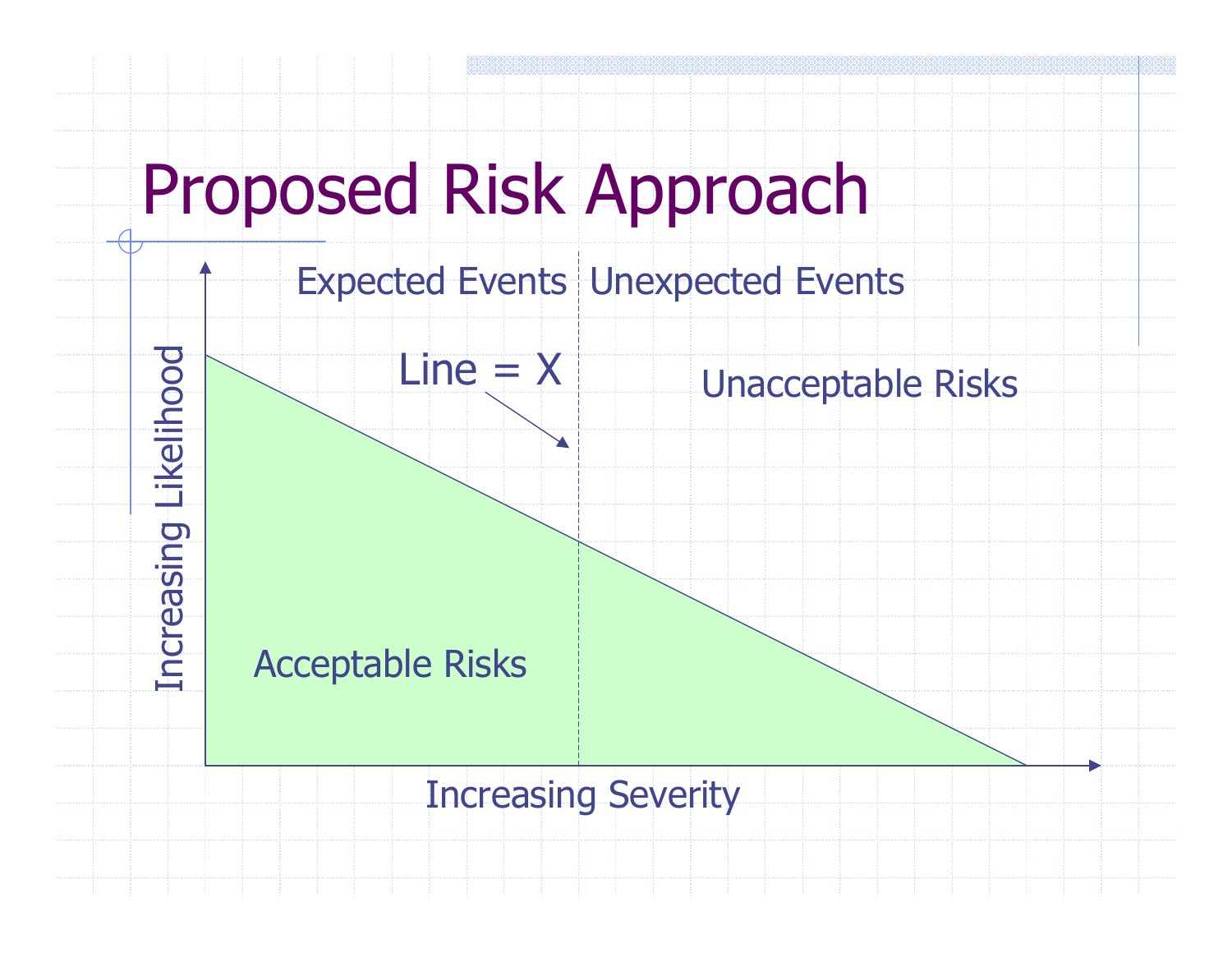

Expected Events Unexpected Events

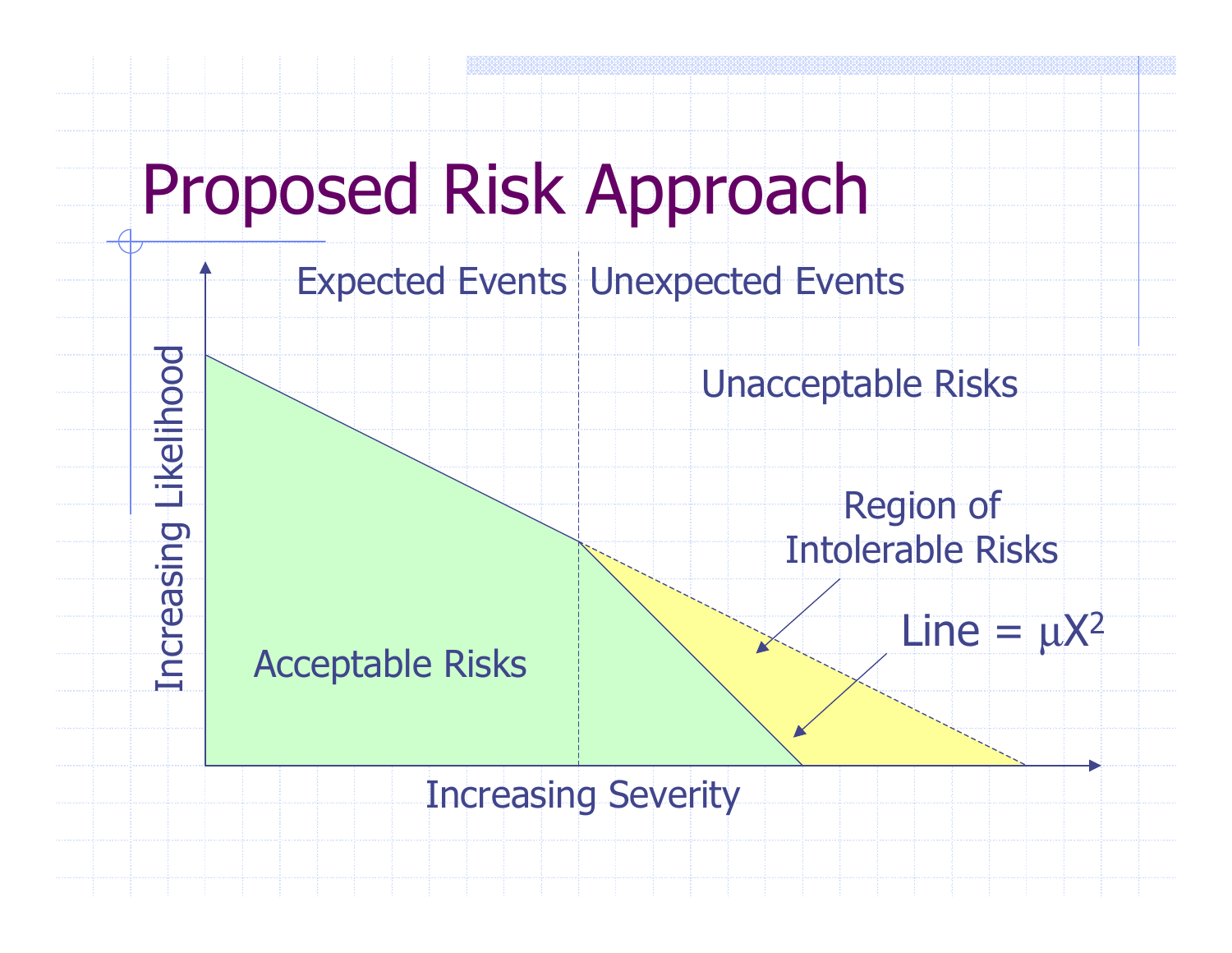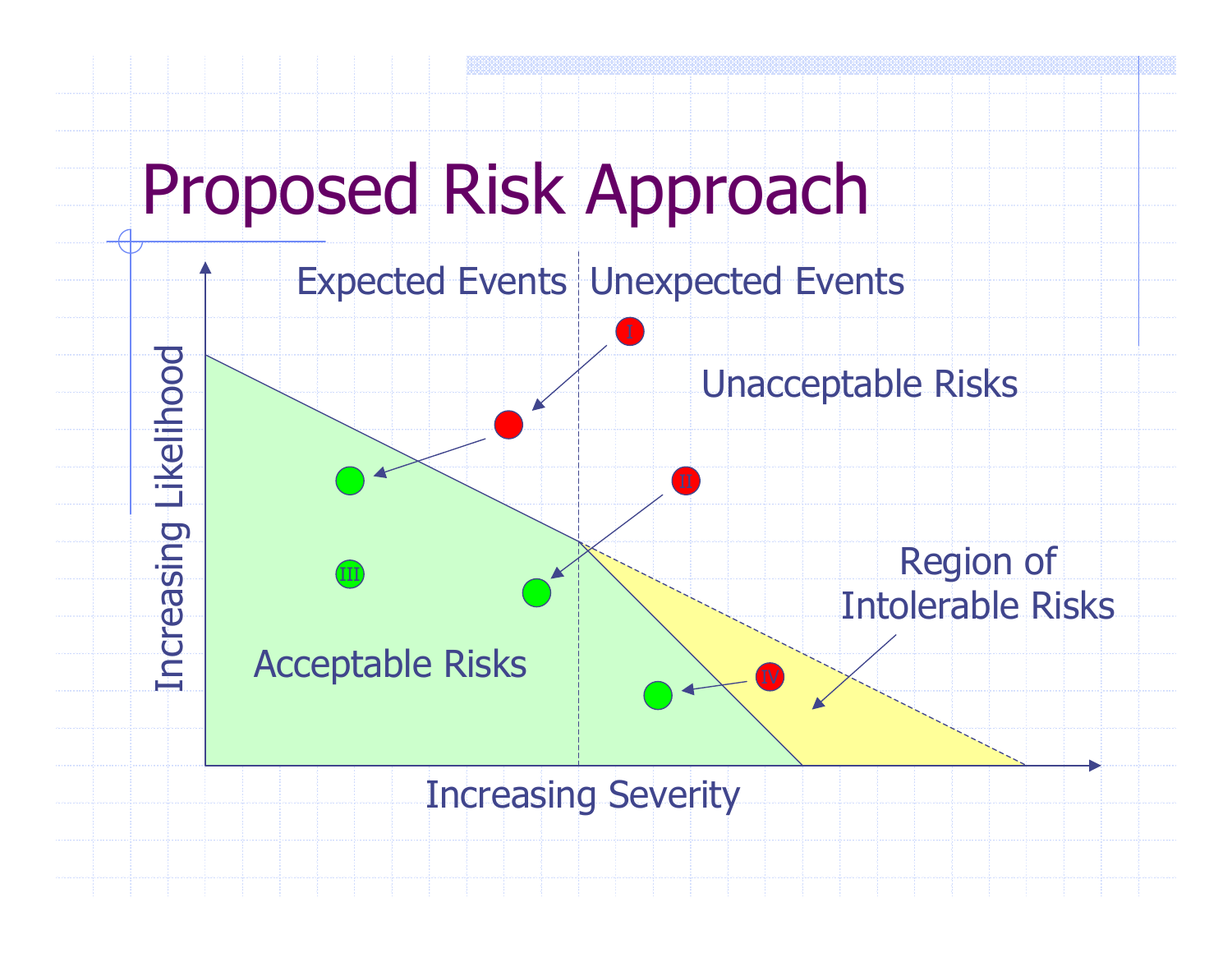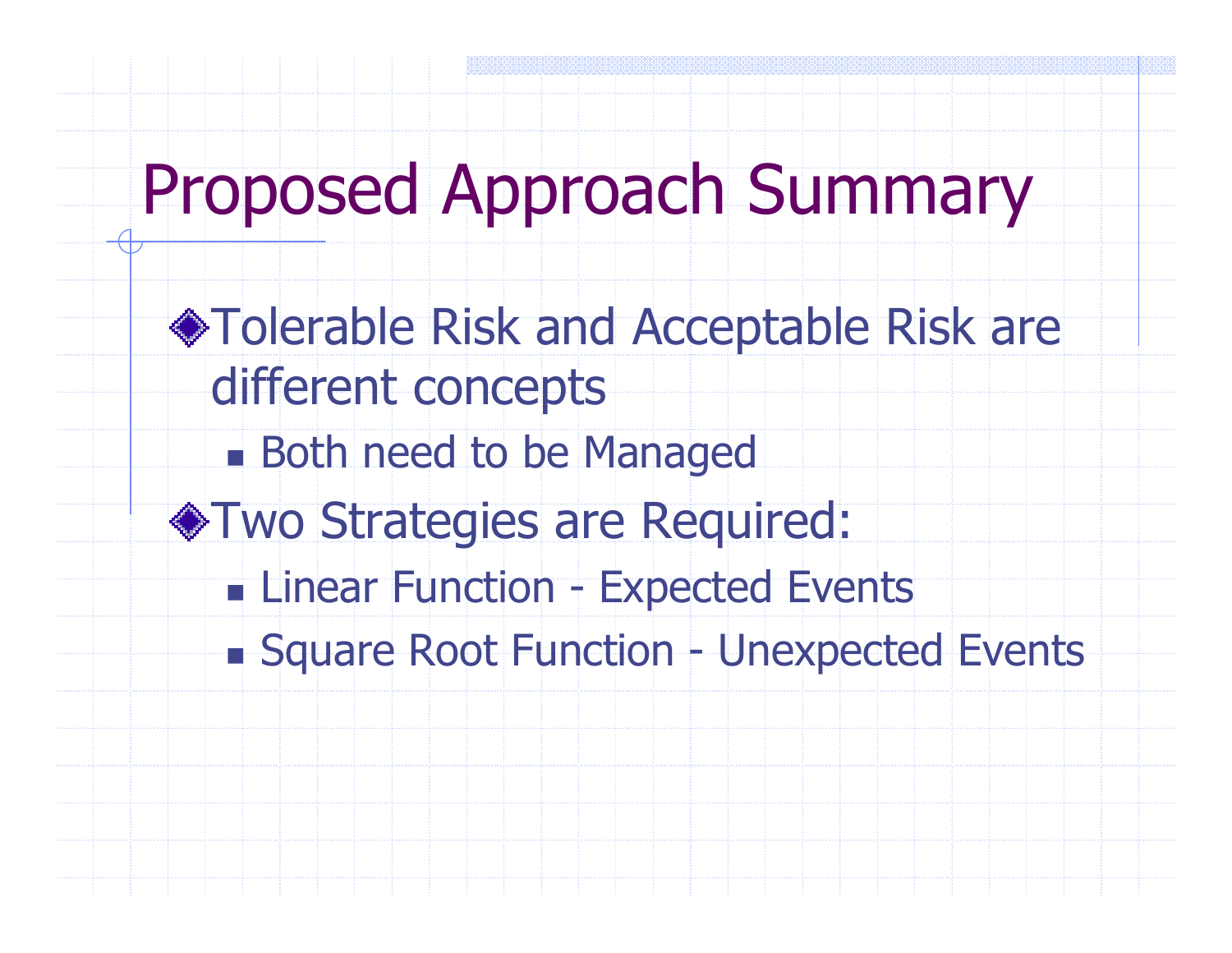# Proposed Approach Summary

- Tolerable Risk and Acceptable Risk are different concepts
	- n. **Both need to be Managed**
- Two Strategies are Required:
	- n. Linear Function - Expected Events
	- n. Square Root Function - Unexpected Events